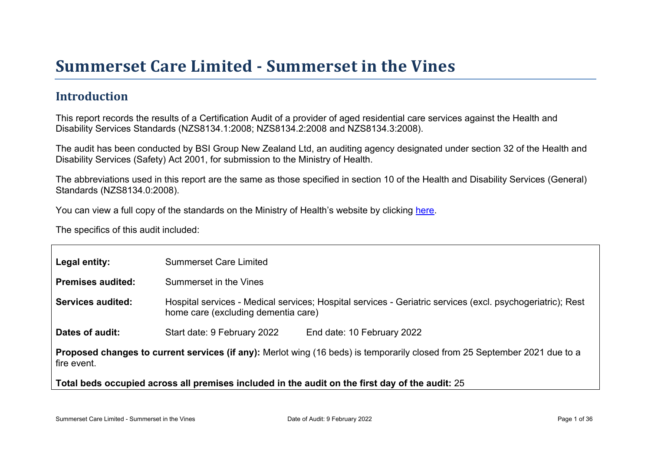# Summer set Car e Limited - Summer set in the Vines

#### Introduction

This report records the results of a Certification Audit of a provider of aged residential care services against the Health and Disability Services Standards (NZS8134.1:2008; NZS8134.2:2008 and NZS8134.3:2008).

The audit has been conducted by BSI Group New Zealand Ltd, an auditing agency designated under section 32 of the Health and Disability Services (Safety) Act 2001, for submission to the Ministry of Health.

The abbreviations used in this report are the same as those specified in section 10 of the Health and Disability Services (General) Standards (NZS8134.0:2008).

You can view a full copy of the standards on the Ministry of Health's website by clicking [here.](http://www.health.govt.nz/our-work/regulation-health-and-disability-system/certification-health-care-services/health-and-disability-services-standards)

The specifics of this audit included:

| Legal entity:                                    | <b>Summerset Care Limited</b>                                                                                                                     |
|--------------------------------------------------|---------------------------------------------------------------------------------------------------------------------------------------------------|
| Premises audited:                                | Summerset in the Vines                                                                                                                            |
| Services audited:                                | Hospital services - Medical services; Hospital services - Geriatric services (excl. psychogeriatric); Rest<br>home care (excluding dementia care) |
| Dates of audit:                                  | Start date: 9 February 2022<br>End date: 10 February 2022                                                                                         |
| Proposed changes to current<br>fire event.       | services (if any): Merlot wing (16 beds) is temporarily closed from 25 September 2021 due to a                                                    |
| Total beds occupied across all premises included | in the audit on the first day of the audit: 25                                                                                                    |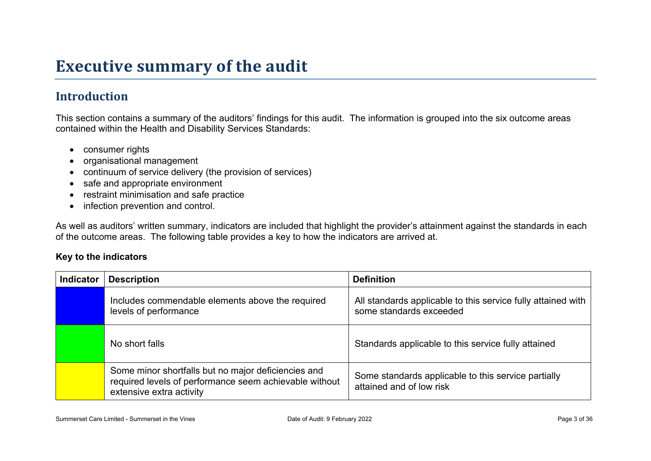## **Executive summary of the audit**

### **Introduction**

This section contains a summary of the auditors' findings for this audit. The information is grouped into the six outcome areas contained within the Health and Disability Services Standards:

- consumer rights
- organisational management
- continuum of service delivery (the provision of services)
- safe and appropriate environment
- restraint minimisation and safe practice
- infection prevention and control.

As well as auditors' written summary, indicators are included that highlight the provider's attainment against the standards in each of the outcome areas. The following table provides a key to how the indicators are arrived at.

#### **Key to the indicators**

| <b>Indicator</b> | <b>Description</b>                                                                                                                        | <b>Definition</b>                                                                       |
|------------------|-------------------------------------------------------------------------------------------------------------------------------------------|-----------------------------------------------------------------------------------------|
|                  | Includes commendable elements above the required<br>levels of performance                                                                 | All standards applicable to this service fully attained with<br>some standards exceeded |
|                  | No short falls                                                                                                                            | Standards applicable to this service fully attained                                     |
|                  | Some minor shortfalls but no major deficiencies and<br>required levels of performance seem achievable without<br>extensive extra activity | Some standards applicable to this service partially<br>attained and of low risk         |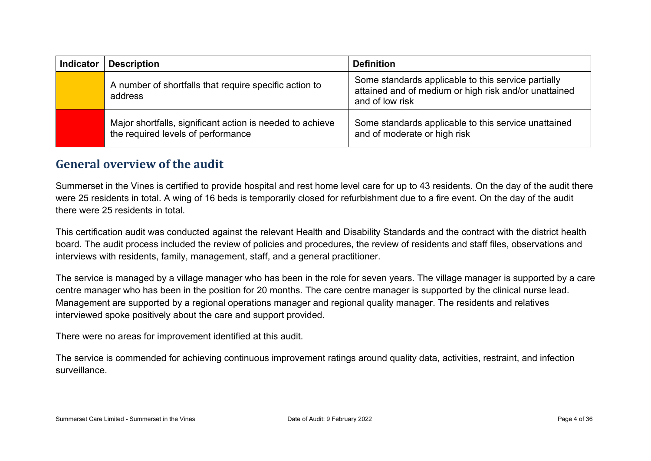| <b>Indicator</b> | <b>Description</b>                                                                              | <b>Definition</b>                                                                                                               |
|------------------|-------------------------------------------------------------------------------------------------|---------------------------------------------------------------------------------------------------------------------------------|
|                  | A number of shortfalls that require specific action to<br>address                               | Some standards applicable to this service partially<br>attained and of medium or high risk and/or unattained<br>and of low risk |
|                  | Major shortfalls, significant action is needed to achieve<br>the required levels of performance | Some standards applicable to this service unattained<br>and of moderate or high risk                                            |

#### **General overview of the audit**

Summerset in the Vines is certified to provide hospital and rest home level care for up to 43 residents. On the day of the audit there were 25 residents in total. A wing of 16 beds is temporarily closed for refurbishment due to a fire event. On the day of the audit there were 25 residents in total.

This certification audit was conducted against the relevant Health and Disability Standards and the contract with the district health board. The audit process included the review of policies and procedures, the review of residents and staff files, observations and interviews with residents, family, management, staff, and a general practitioner.

The service is managed by a village manager who has been in the role for seven years. The village manager is supported by a care centre manager who has been in the position for 20 months. The care centre manager is supported by the clinical nurse lead. Management are supported by a regional operations manager and regional quality manager. The residents and relatives interviewed spoke positively about the care and support provided.

There were no areas for improvement identified at this audit.

The service is commended for achieving continuous improvement ratings around quality data, activities, restraint, and infection surveillance.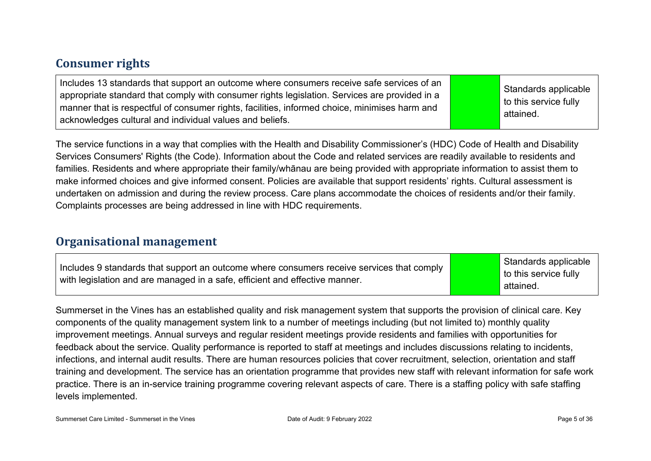#### **Consumer rights**

Includes 13 standards that support an outcome where consumers receive safe services of an appropriate standard that comply with consumer rights legislation. Services are provided in a manner that is respectful of consumer rights, facilities, informed choice, minimises harm and acknowledges cultural and individual values and beliefs.

Standards applicable to this service fully attained.

The service functions in a way that complies with the Health and Disability Commissioner's (HDC) Code of Health and Disability Services Consumers' Rights (the Code). Information about the Code and related services are readily available to residents and families. Residents and where appropriate their family/whānau are being provided with appropriate information to assist them to make informed choices and give informed consent. Policies are available that support residents' rights. Cultural assessment is undertaken on admission and during the review process. Care plans accommodate the choices of residents and/or their family. Complaints processes are being addressed in line with HDC requirements.

#### **Organisational management**

Summerset in the Vines has an established quality and risk management system that supports the provision of clinical care. Key components of the quality management system link to a number of meetings including (but not limited to) monthly quality improvement meetings. Annual surveys and regular resident meetings provide residents and families with opportunities for feedback about the service. Quality performance is reported to staff at meetings and includes discussions relating to incidents, infections, and internal audit results. There are human resources policies that cover recruitment, selection, orientation and staff training and development. The service has an orientation programme that provides new staff with relevant information for safe work practice. There is an in-service training programme covering relevant aspects of care. There is a staffing policy with safe staffing levels implemented.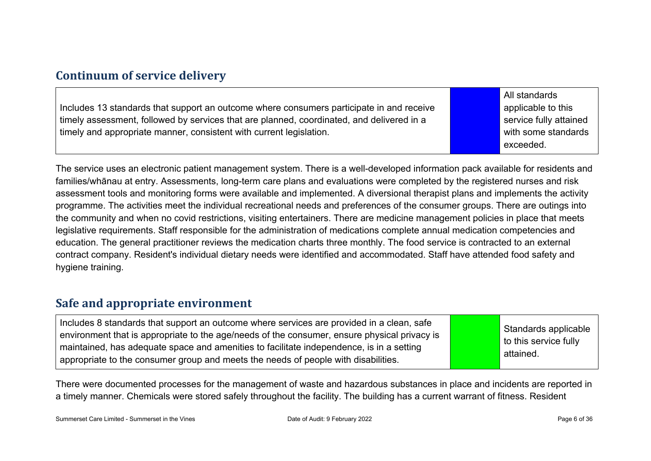#### **Continuum of service delivery**

Includes 13 standards that support an outcome where consumers participate in and receive timely assessment, followed by services that are planned, coordinated, and delivered in a timely and appropriate manner, consistent with current legislation.

All standards applicable to this service fully attained with some standards exceeded.

The service uses an electronic patient management system. There is a well-developed information pack available for residents and families/whānau at entry. Assessments, long-term care plans and evaluations were completed by the registered nurses and risk assessment tools and monitoring forms were available and implemented. A diversional therapist plans and implements the activity programme. The activities meet the individual recreational needs and preferences of the consumer groups. There are outings into the community and when no covid restrictions, visiting entertainers. There are medicine management policies in place that meets legislative requirements. Staff responsible for the administration of medications complete annual medication competencies and education. The general practitioner reviews the medication charts three monthly. The food service is contracted to an external contract company. Resident's individual dietary needs were identified and accommodated. Staff have attended food safety and hygiene training.

#### **Safe and appropriate environment**

There were documented processes for the management of waste and hazardous substances in place and incidents are reported in a timely manner. Chemicals were stored safely throughout the facility. The building has a current warrant of fitness. Resident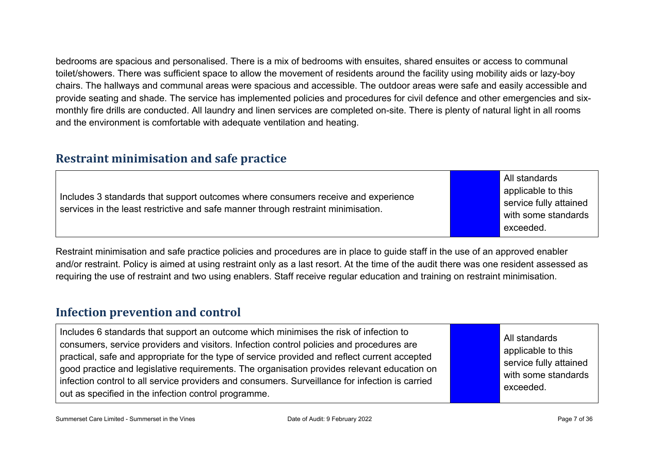bedrooms are spacious and personalised. There is a mix of bedrooms with ensuites, shared ensuites or access to communal toilet/showers. There was sufficient space to allow the movement of residents around the facility using mobility aids or lazy-boy chairs. The hallways and communal areas were spacious and accessible. The outdoor areas were safe and easily accessible and provide seating and shade. The service has implemented policies and procedures for civil defence and other emergencies and sixmonthly fire drills are conducted. All laundry and linen services are completed on-site. There is plenty of natural light in all rooms and the environment is comfortable with adequate ventilation and heating.

#### **Restraint minimisation and safe practice**

| Includes 3 standards that support outcomes where consumers receive and experience<br>services in the least restrictive and safe manner through restraint minimisation. |  | All standards<br>applicable to this<br>service fully attained<br>with some standards<br>'exceeded. |
|------------------------------------------------------------------------------------------------------------------------------------------------------------------------|--|----------------------------------------------------------------------------------------------------|
|------------------------------------------------------------------------------------------------------------------------------------------------------------------------|--|----------------------------------------------------------------------------------------------------|

Restraint minimisation and safe practice policies and procedures are in place to guide staff in the use of an approved enabler and/or restraint. Policy is aimed at using restraint only as a last resort. At the time of the audit there was one resident assessed as requiring the use of restraint and two using enablers. Staff receive regular education and training on restraint minimisation.

#### **Infection prevention and control**

| Includes 6 standards that support an outcome which minimises the risk of infection to<br>consumers, service providers and visitors. Infection control policies and procedures are<br>practical, safe and appropriate for the type of service provided and reflect current accepted<br>good practice and legislative requirements. The organisation provides relevant education on<br>infection control to all service providers and consumers. Surveillance for infection is carried<br>out as specified in the infection control programme. |  | All standards<br>applicable to this<br>service fully attained<br>with some standards<br>exceeded. |
|----------------------------------------------------------------------------------------------------------------------------------------------------------------------------------------------------------------------------------------------------------------------------------------------------------------------------------------------------------------------------------------------------------------------------------------------------------------------------------------------------------------------------------------------|--|---------------------------------------------------------------------------------------------------|
|----------------------------------------------------------------------------------------------------------------------------------------------------------------------------------------------------------------------------------------------------------------------------------------------------------------------------------------------------------------------------------------------------------------------------------------------------------------------------------------------------------------------------------------------|--|---------------------------------------------------------------------------------------------------|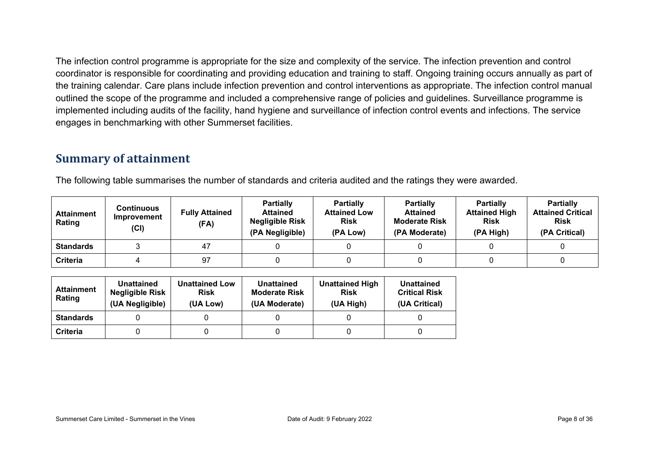The infection control programme is appropriate for the size and complexity of the service. The infection prevention and control coordinator is responsible for coordinating and providing education and training to staff. Ongoing training occurs annually as part of the training calendar. Care plans include infection prevention and control interventions as appropriate. The infection control manual outlined the scope of the programme and included a comprehensive range of policies and guidelines. Surveillance programme is implemented including audits of the facility, hand hygiene and surveillance of infection control events and infections. The service engages in benchmarking with other Summerset facilities.

#### **Summary of attainment**

The following table summarises the number of standards and criteria audited and the ratings they were awarded.

| <b>Attainment</b><br>Rating | <b>Continuous</b><br>Improvement<br>(Cl) | <b>Fully Attained</b><br>(FA) | <b>Partially</b><br><b>Attained</b><br><b>Negligible Risk</b><br>(PA Negligible) | <b>Partially</b><br><b>Attained Low</b><br><b>Risk</b><br>(PA Low) | <b>Partially</b><br><b>Attained</b><br><b>Moderate Risk</b><br>(PA Moderate) | <b>Partially</b><br><b>Attained High</b><br><b>Risk</b><br>(PA High) | <b>Partially</b><br><b>Attained Critical</b><br><b>Risk</b><br>(PA Critical) |
|-----------------------------|------------------------------------------|-------------------------------|----------------------------------------------------------------------------------|--------------------------------------------------------------------|------------------------------------------------------------------------------|----------------------------------------------------------------------|------------------------------------------------------------------------------|
| <b>Standards</b>            |                                          | 47                            |                                                                                  |                                                                    |                                                                              |                                                                      |                                                                              |
| <b>Criteria</b>             |                                          | 97                            |                                                                                  |                                                                    |                                                                              |                                                                      |                                                                              |

| Attainment<br>Rating | Unattained<br><b>Negligible Risk</b><br>(UA Negligible) | <b>Unattained Low</b><br><b>Risk</b><br>(UA Low) | Unattained<br><b>Moderate Risk</b><br>(UA Moderate) | <b>Unattained High</b><br><b>Risk</b><br>(UA High) | Unattained<br><b>Critical Risk</b><br>(UA Critical) |
|----------------------|---------------------------------------------------------|--------------------------------------------------|-----------------------------------------------------|----------------------------------------------------|-----------------------------------------------------|
| <b>Standards</b>     |                                                         |                                                  |                                                     |                                                    |                                                     |
| <b>Criteria</b>      |                                                         |                                                  |                                                     |                                                    |                                                     |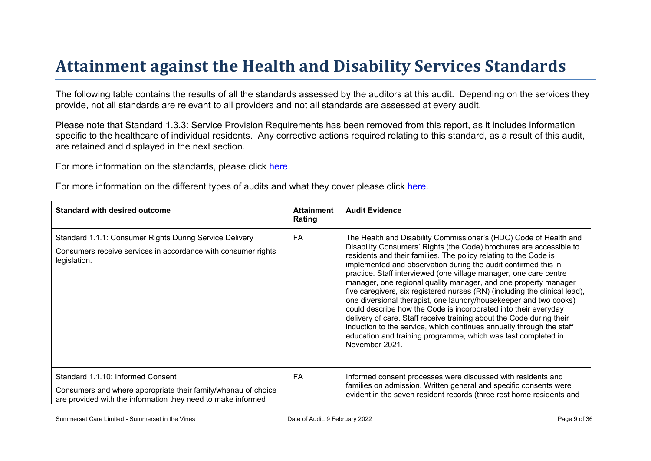# Attainment against the Health and Disability Ser vices Standar ds

The following table contains the results of all the standards assessed by the auditors at this audit. Depending on the services they provide, not all standards are relevant to all providers and not all standards are assessed at every audit.

Please note that Standard 1.3.3: Service Provision Requirements has been removed from this report, as it includes information specific to the healthcare of individual residents. Any corrective actions required relating to this standard, as a result of this audit. are retained and displayed in the next section.

For more information on the standards, please click [here](http://www.health.govt.nz/our-work/regulation-health-and-disability-system/certification-health-care-services/health-and-disability-services-standards).

For more information on the different types of audits and what they cover please click [here.](http://www.health.govt.nz/your-health/services-and-support/health-care-services/services-older-people/rest-home-certification-and-audits)

| Standard with desired outcome                                                                                                                                 | Attainment<br>Rating | <b>Audit Evidence</b>                                                                                                                                                                                                                                                                                                                                                                                                                                                                                                                                                                                                                                                                                                                                                                                                                                                           |
|---------------------------------------------------------------------------------------------------------------------------------------------------------------|----------------------|---------------------------------------------------------------------------------------------------------------------------------------------------------------------------------------------------------------------------------------------------------------------------------------------------------------------------------------------------------------------------------------------------------------------------------------------------------------------------------------------------------------------------------------------------------------------------------------------------------------------------------------------------------------------------------------------------------------------------------------------------------------------------------------------------------------------------------------------------------------------------------|
| Standard 1.1.1: Consumer Rights During Service Delivery<br>Consumers receive services in accordance with consumer rights<br>legislation.                      | FA                   | The Health and Disability Commissioner's (HDC) Code of Health and<br>Disability Consumers' Rights (the Code) brochures are accessible to<br>residents and their families. The policy relating to the Code is<br>implemented and observation during the audit confirmed this in<br>practice. Staff interviewed (one village manager, one care centre<br>manager, one regional quality manager, and one property manager<br>five caregivers, six registered nurses (RN) (including the clinical lead),<br>one diversional therapist, one laundry/housekeeper and two cooks)<br>could describe how the Code is incorporated into their everyday<br>delivery of care. Staff receive training about the Code during their<br>induction to the service, which continues annually through the staff<br>education and training programme, which was last completed in<br>November 2021. |
| Standard 1.1.10: Informed Consent<br>Consumers and where appropriate their<br>% ? 3 B chooite<br>are provided with the information they need to make informed | FA                   | Informed consent processes were discussed with residents and<br>families on admission. Written general and specific consents were<br>evident in the seven resident records (three rest home residents and                                                                                                                                                                                                                                                                                                                                                                                                                                                                                                                                                                                                                                                                       |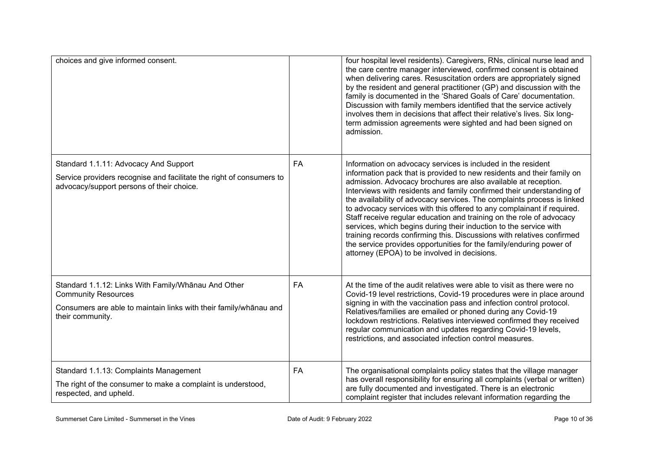| choices and give informed consent.                                                                                                                                         |           | four hospital level residents). Caregivers, RNs, clinical nurse lead and<br>the care centre manager interviewed, confirmed consent is obtained<br>when delivering cares. Resuscitation orders are appropriately signed<br>by the resident and general practitioner (GP) and discussion with the<br>family is documented in the 'Shared Goals of Care' documentation.<br>Discussion with family members identified that the service actively<br>involves them in decisions that affect their relative's lives. Six long-<br>term admission agreements were sighted and had been signed on<br>admission.                                                                                                                                                                               |
|----------------------------------------------------------------------------------------------------------------------------------------------------------------------------|-----------|--------------------------------------------------------------------------------------------------------------------------------------------------------------------------------------------------------------------------------------------------------------------------------------------------------------------------------------------------------------------------------------------------------------------------------------------------------------------------------------------------------------------------------------------------------------------------------------------------------------------------------------------------------------------------------------------------------------------------------------------------------------------------------------|
| Standard 1.1.11: Advocacy And Support<br>Service providers recognise and facilitate the right of consumers to<br>advocacy/support persons of their choice.                 | FA        | Information on advocacy services is included in the resident<br>information pack that is provided to new residents and their family on<br>admission. Advocacy brochures are also available at reception.<br>Interviews with residents and family confirmed their understanding of<br>the availability of advocacy services. The complaints process is linked<br>to advocacy services with this offered to any complainant if required.<br>Staff receive regular education and training on the role of advocacy<br>services, which begins during their induction to the service with<br>training records confirming this. Discussions with relatives confirmed<br>the service provides opportunities for the family/enduring power of<br>attorney (EPOA) to be involved in decisions. |
| Standard 1.1.12: Links With Family/Whanau And Other<br><b>Community Resources</b><br>Consumers are able to maintain links with their family/whānau and<br>their community. | <b>FA</b> | At the time of the audit relatives were able to visit as there were no<br>Covid-19 level restrictions, Covid-19 procedures were in place around<br>signing in with the vaccination pass and infection control protocol.<br>Relatives/families are emailed or phoned during any Covid-19<br>lockdown restrictions. Relatives interviewed confirmed they received<br>regular communication and updates regarding Covid-19 levels,<br>restrictions, and associated infection control measures.                                                                                                                                                                                                                                                                                          |
| Standard 1.1.13: Complaints Management<br>The right of the consumer to make a complaint is understood,<br>respected, and upheld.                                           | <b>FA</b> | The organisational complaints policy states that the village manager<br>has overall responsibility for ensuring all complaints (verbal or written)<br>are fully documented and investigated. There is an electronic<br>complaint register that includes relevant information regarding the                                                                                                                                                                                                                                                                                                                                                                                                                                                                                           |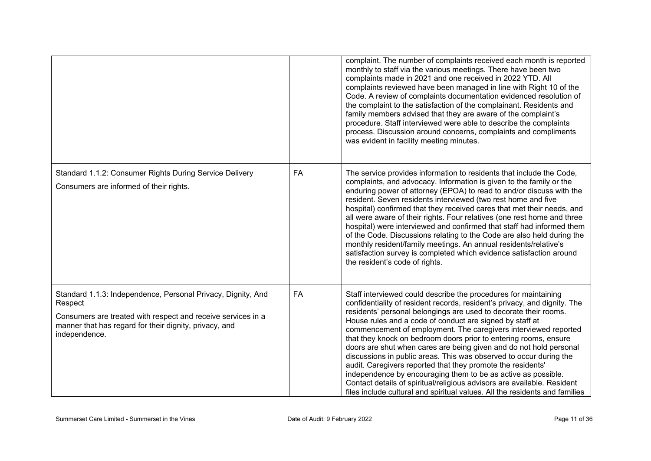|                                                                                                                                                                                                                    |    | complaint. The number of complaints received each month is reported<br>monthly to staff via the various meetings. There have been two<br>complaints made in 2021 and one received in 2022 YTD. All<br>complaints reviewed have been managed in line with Right 10 of the<br>Code. A review of complaints documentation evidenced resolution of<br>the complaint to the satisfaction of the complainant. Residents and<br>family members advised that they are aware of the complaint's<br>procedure. Staff interviewed were able to describe the complaints<br>process. Discussion around concerns, complaints and compliments<br>was evident in facility meeting minutes.                                                                                                                                                                                |
|--------------------------------------------------------------------------------------------------------------------------------------------------------------------------------------------------------------------|----|-----------------------------------------------------------------------------------------------------------------------------------------------------------------------------------------------------------------------------------------------------------------------------------------------------------------------------------------------------------------------------------------------------------------------------------------------------------------------------------------------------------------------------------------------------------------------------------------------------------------------------------------------------------------------------------------------------------------------------------------------------------------------------------------------------------------------------------------------------------|
| Standard 1.1.2: Consumer Rights During Service Delivery<br>Consumers are informed of their rights.                                                                                                                 | FA | The service provides information to residents that include the Code,<br>complaints, and advocacy. Information is given to the family or the<br>enduring power of attorney (EPOA) to read to and/or discuss with the<br>resident. Seven residents interviewed (two rest home and five<br>hospital) confirmed that they received cares that met their needs, and<br>all were aware of their rights. Four relatives (one rest home and three<br>hospital) were interviewed and confirmed that staff had informed them<br>of the Code. Discussions relating to the Code are also held during the<br>monthly resident/family meetings. An annual residents/relative's<br>satisfaction survey is completed which evidence satisfaction around<br>the resident's code of rights.                                                                                 |
| Standard 1.1.3: Independence, Personal Privacy, Dignity, And<br>Respect<br>Consumers are treated with respect and receive services in a<br>manner that has regard for their dignity, privacy, and<br>independence. | FA | Staff interviewed could describe the procedures for maintaining<br>confidentiality of resident records, resident's privacy, and dignity. The<br>residents' personal belongings are used to decorate their rooms.<br>House rules and a code of conduct are signed by staff at<br>commencement of employment. The caregivers interviewed reported<br>that they knock on bedroom doors prior to entering rooms, ensure<br>doors are shut when cares are being given and do not hold personal<br>discussions in public areas. This was observed to occur during the<br>audit. Caregivers reported that they promote the residents'<br>independence by encouraging them to be as active as possible.<br>Contact details of spiritual/religious advisors are available. Resident<br>files include cultural and spiritual values. All the residents and families |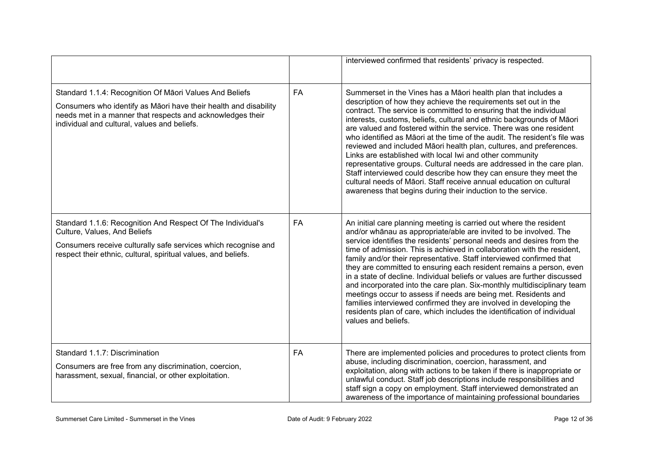|                                                                                                                                                                                                                                           |    | interviewed confirmed that residents' privacy is respected.                                                                                                                                                                                                                                                                                                                                                                                                                                                                                                                                                                                                                                                                                                                                                                                                  |
|-------------------------------------------------------------------------------------------------------------------------------------------------------------------------------------------------------------------------------------------|----|--------------------------------------------------------------------------------------------------------------------------------------------------------------------------------------------------------------------------------------------------------------------------------------------------------------------------------------------------------------------------------------------------------------------------------------------------------------------------------------------------------------------------------------------------------------------------------------------------------------------------------------------------------------------------------------------------------------------------------------------------------------------------------------------------------------------------------------------------------------|
| Standard 1.1.4: Recognition Of Māori Values And Beliefs<br>Consumers who identify as Māori have their health and disability<br>needs met in a manner that respects and acknowledges their<br>individual and cultural, values and beliefs. | FA | Summerset in the Vines has a Māori health plan that includes a<br>description of how they achieve the requirements set out in the<br>contract. The service is committed to ensuring that the individual<br>interests, customs, beliefs, cultural and ethnic backgrounds of Māori<br>are valued and fostered within the service. There was one resident<br>who identified as Māori at the time of the audit. The resident's file was<br>reviewed and included Māori health plan, cultures, and preferences.<br>Links are established with local Iwi and other community<br>representative groups. Cultural needs are addressed in the care plan.<br>Staff interviewed could describe how they can ensure they meet the<br>cultural needs of Māori. Staff receive annual education on cultural<br>awareness that begins during their induction to the service. |
| Standard 1.1.6: Recognition And Respect Of The Individual's<br>Culture, Values, And Beliefs<br>Consumers receive culturally safe services which recognise and<br>respect their ethnic, cultural, spiritual values, and beliefs.           | FA | An initial care planning meeting is carried out where the resident<br>and/or whanau as appropriate/able are invited to be involved. The<br>service identifies the residents' personal needs and desires from the<br>time of admission. This is achieved in collaboration with the resident,<br>family and/or their representative. Staff interviewed confirmed that<br>they are committed to ensuring each resident remains a person, even<br>in a state of decline. Individual beliefs or values are further discussed<br>and incorporated into the care plan. Six-monthly multidisciplinary team<br>meetings occur to assess if needs are being met. Residents and<br>families interviewed confirmed they are involved in developing the<br>residents plan of care, which includes the identification of individual<br>values and beliefs.                 |
| Standard 1.1.7: Discrimination<br>Consumers are free from any discrimination, coercion,<br>harassment, sexual, financial, or other exploitation.                                                                                          | FA | There are implemented policies and procedures to protect clients from<br>abuse, including discrimination, coercion, harassment, and<br>exploitation, along with actions to be taken if there is inappropriate or<br>unlawful conduct. Staff job descriptions include responsibilities and<br>staff sign a copy on employment. Staff interviewed demonstrated an<br>awareness of the importance of maintaining professional boundaries                                                                                                                                                                                                                                                                                                                                                                                                                        |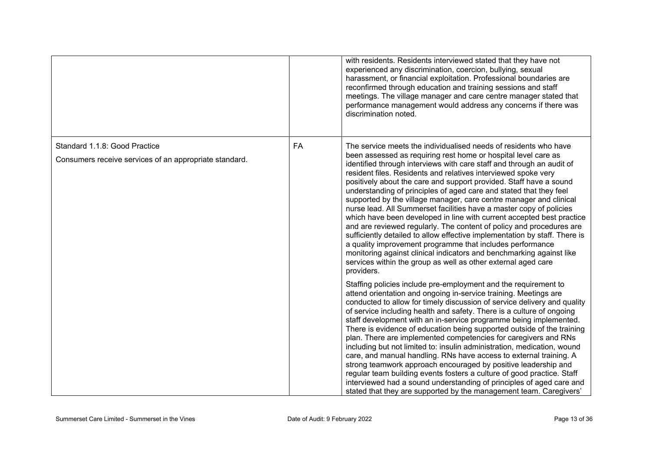|                                                                                                      | with residents. Residents interviewed stated that they have not<br>experienced any discrimination, coercion, bullying, sexual<br>harassment, or financial exploitation. Professional boundaries are<br>reconfirmed through education and training sessions and staff<br>meetings. The village manager and care centre manager stated that<br>performance management would address any concerns if there was<br>discrimination noted.                                                                                                                                                                                                                                                                                                                                                                                                                                                                                                                                                                                      |
|------------------------------------------------------------------------------------------------------|---------------------------------------------------------------------------------------------------------------------------------------------------------------------------------------------------------------------------------------------------------------------------------------------------------------------------------------------------------------------------------------------------------------------------------------------------------------------------------------------------------------------------------------------------------------------------------------------------------------------------------------------------------------------------------------------------------------------------------------------------------------------------------------------------------------------------------------------------------------------------------------------------------------------------------------------------------------------------------------------------------------------------|
| Standard 1.1.8: Good Practice<br><b>FA</b><br>Consumers receive services of an appropriate standard. | The service meets the individualised needs of residents who have<br>been assessed as requiring rest home or hospital level care as<br>identified through interviews with care staff and through an audit of<br>resident files. Residents and relatives interviewed spoke very<br>positively about the care and support provided. Staff have a sound<br>understanding of principles of aged care and stated that they feel<br>supported by the village manager, care centre manager and clinical<br>nurse lead. All Summerset facilities have a master copy of policies<br>which have been developed in line with current accepted best practice<br>and are reviewed regularly. The content of policy and procedures are<br>sufficiently detailed to allow effective implementation by staff. There is<br>a quality improvement programme that includes performance<br>monitoring against clinical indicators and benchmarking against like<br>services within the group as well as other external aged care<br>providers. |
|                                                                                                      | Staffing policies include pre-employment and the requirement to<br>attend orientation and ongoing in-service training. Meetings are<br>conducted to allow for timely discussion of service delivery and quality<br>of service including health and safety. There is a culture of ongoing<br>staff development with an in-service programme being implemented.<br>There is evidence of education being supported outside of the training<br>plan. There are implemented competencies for caregivers and RNs<br>including but not limited to: insulin administration, medication, wound<br>care, and manual handling. RNs have access to external training. A<br>strong teamwork approach encouraged by positive leadership and<br>regular team building events fosters a culture of good practice. Staff<br>interviewed had a sound understanding of principles of aged care and<br>stated that they are supported by the management team. Caregivers'                                                                     |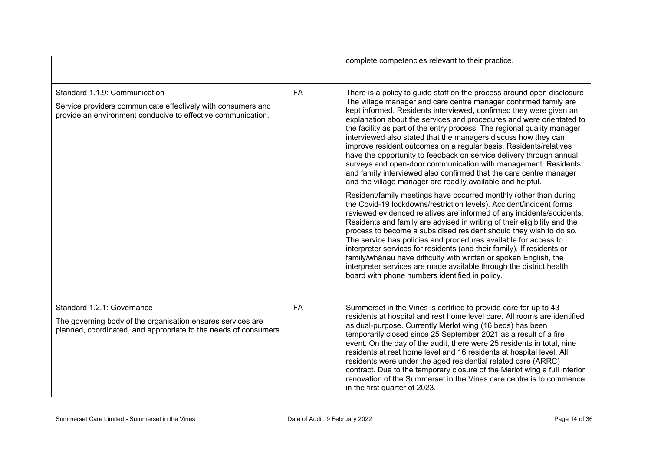|                                                                                                                                                               |           | complete competencies relevant to their practice.                                                                                                                                                                                                                                                                                                                                                                                                                                                                                                                                                                                                                                                                                                                                        |
|---------------------------------------------------------------------------------------------------------------------------------------------------------------|-----------|------------------------------------------------------------------------------------------------------------------------------------------------------------------------------------------------------------------------------------------------------------------------------------------------------------------------------------------------------------------------------------------------------------------------------------------------------------------------------------------------------------------------------------------------------------------------------------------------------------------------------------------------------------------------------------------------------------------------------------------------------------------------------------------|
| Standard 1.1.9: Communication<br>Service providers communicate effectively with consumers and<br>provide an environment conducive to effective communication. | <b>FA</b> | There is a policy to guide staff on the process around open disclosure.<br>The village manager and care centre manager confirmed family are<br>kept informed. Residents interviewed, confirmed they were given an<br>explanation about the services and procedures and were orientated to<br>the facility as part of the entry process. The regional quality manager<br>interviewed also stated that the managers discuss how they can<br>improve resident outcomes on a regular basis. Residents/relatives<br>have the opportunity to feedback on service delivery through annual<br>surveys and open-door communication with management. Residents<br>and family interviewed also confirmed that the care centre manager<br>and the village manager are readily available and helpful. |
|                                                                                                                                                               |           | Resident/family meetings have occurred monthly (other than during<br>the Covid-19 lockdowns/restriction levels). Accident/incident forms<br>reviewed evidenced relatives are informed of any incidents/accidents.<br>Residents and family are advised in writing of their eligibility and the<br>process to become a subsidised resident should they wish to do so.<br>The service has policies and procedures available for access to<br>interpreter services for residents (and their family). If residents or<br>family/whanau have difficulty with written or spoken English, the<br>interpreter services are made available through the district health<br>board with phone numbers identified in policy.                                                                           |
| Standard 1.2.1: Governance<br>The governing body of the organisation ensures services are<br>planned, coordinated, and appropriate to the needs of consumers. | FA        | Summerset in the Vines is certified to provide care for up to 43<br>residents at hospital and rest home level care. All rooms are identified<br>as dual-purpose. Currently Merlot wing (16 beds) has been<br>temporarily closed since 25 September 2021 as a result of a fire<br>event. On the day of the audit, there were 25 residents in total, nine<br>residents at rest home level and 16 residents at hospital level. All<br>residents were under the aged residential related care (ARRC)<br>contract. Due to the temporary closure of the Merlot wing a full interior<br>renovation of the Summerset in the Vines care centre is to commence<br>in the first quarter of 2023.                                                                                                    |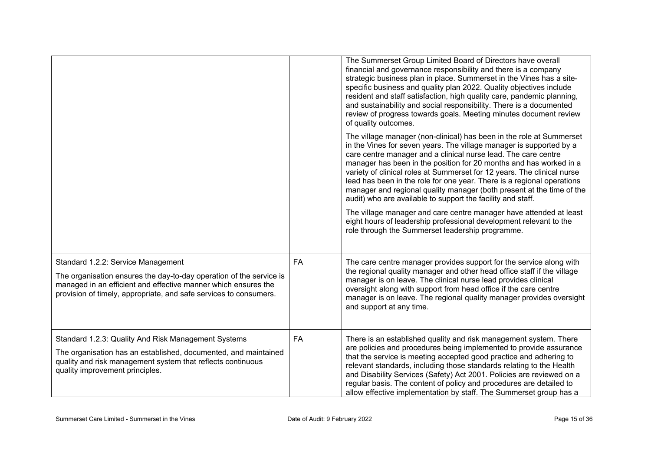|                                                                                                                                                                                                                                                  |    | The Summerset Group Limited Board of Directors have overall<br>financial and governance responsibility and there is a company<br>strategic business plan in place. Summerset in the Vines has a site-<br>specific business and quality plan 2022. Quality objectives include<br>resident and staff satisfaction, high quality care, pandemic planning,<br>and sustainability and social responsibility. There is a documented<br>review of progress towards goals. Meeting minutes document review<br>of quality outcomes.                                                                                                                                                                                                                                                       |
|--------------------------------------------------------------------------------------------------------------------------------------------------------------------------------------------------------------------------------------------------|----|----------------------------------------------------------------------------------------------------------------------------------------------------------------------------------------------------------------------------------------------------------------------------------------------------------------------------------------------------------------------------------------------------------------------------------------------------------------------------------------------------------------------------------------------------------------------------------------------------------------------------------------------------------------------------------------------------------------------------------------------------------------------------------|
|                                                                                                                                                                                                                                                  |    | The village manager (non-clinical) has been in the role at Summerset<br>in the Vines for seven years. The village manager is supported by a<br>care centre manager and a clinical nurse lead. The care centre<br>manager has been in the position for 20 months and has worked in a<br>variety of clinical roles at Summerset for 12 years. The clinical nurse<br>lead has been in the role for one year. There is a regional operations<br>manager and regional quality manager (both present at the time of the<br>audit) who are available to support the facility and staff.<br>The village manager and care centre manager have attended at least<br>eight hours of leadership professional development relevant to the<br>role through the Summerset leadership programme. |
| Standard 1.2.2: Service Management<br>The organisation ensures the day-to-day operation of the service is<br>managed in an efficient and effective manner which ensures the<br>provision of timely, appropriate, and safe services to consumers. | FA | The care centre manager provides support for the service along with<br>the regional quality manager and other head office staff if the village<br>manager is on leave. The clinical nurse lead provides clinical<br>oversight along with support from head office if the care centre<br>manager is on leave. The regional quality manager provides oversight<br>and support at any time.                                                                                                                                                                                                                                                                                                                                                                                         |
| Standard 1.2.3: Quality And Risk Management Systems<br>The organisation has an established, documented, and maintained<br>quality and risk management system that reflects continuous<br>quality improvement principles.                         | FA | There is an established quality and risk management system. There<br>are policies and procedures being implemented to provide assurance<br>that the service is meeting accepted good practice and adhering to<br>relevant standards, including those standards relating to the Health<br>and Disability Services (Safety) Act 2001. Policies are reviewed on a<br>regular basis. The content of policy and procedures are detailed to<br>allow effective implementation by staff. The Summerset group has a                                                                                                                                                                                                                                                                      |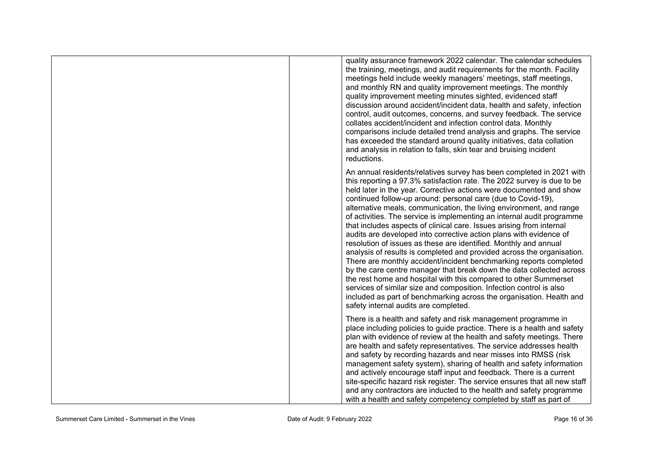| quality assurance framework 2022 calendar. The calendar schedules<br>the training, meetings, and audit requirements for the month. Facility<br>meetings held include weekly managers' meetings, staff meetings,<br>and monthly RN and quality improvement meetings. The monthly<br>quality improvement meeting minutes sighted, evidenced staff<br>discussion around accident/incident data, health and safety, infection<br>control, audit outcomes, concerns, and survey feedback. The service<br>collates accident/incident and infection control data. Monthly<br>comparisons include detailed trend analysis and graphs. The service<br>has exceeded the standard around quality initiatives, data collation<br>and analysis in relation to falls, skin tear and bruising incident<br>reductions.                                                                                                                                                                                                                                                                                                                                       |
|----------------------------------------------------------------------------------------------------------------------------------------------------------------------------------------------------------------------------------------------------------------------------------------------------------------------------------------------------------------------------------------------------------------------------------------------------------------------------------------------------------------------------------------------------------------------------------------------------------------------------------------------------------------------------------------------------------------------------------------------------------------------------------------------------------------------------------------------------------------------------------------------------------------------------------------------------------------------------------------------------------------------------------------------------------------------------------------------------------------------------------------------|
| An annual residents/relatives survey has been completed in 2021 with<br>this reporting a 97.3% satisfaction rate. The 2022 survey is due to be<br>held later in the year. Corrective actions were documented and show<br>continued follow-up around: personal care (due to Covid-19),<br>alternative meals, communication, the living environment, and range<br>of activities. The service is implementing an internal audit programme<br>that includes aspects of clinical care. Issues arising from internal<br>audits are developed into corrective action plans with evidence of<br>resolution of issues as these are identified. Monthly and annual<br>analysis of results is completed and provided across the organisation.<br>There are monthly accident/incident benchmarking reports completed<br>by the care centre manager that break down the data collected across<br>the rest home and hospital with this compared to other Summerset<br>services of similar size and composition. Infection control is also<br>included as part of benchmarking across the organisation. Health and<br>safety internal audits are completed. |
| There is a health and safety and risk management programme in<br>place including policies to guide practice. There is a health and safety<br>plan with evidence of review at the health and safety meetings. There<br>are health and safety representatives. The service addresses health<br>and safety by recording hazards and near misses into RMSS (risk)<br>management safety system), sharing of health and safety information<br>and actively encourage staff input and feedback. There is a current<br>site-specific hazard risk register. The service ensures that all new staff<br>and any contractors are inducted to the health and safety programme<br>with a health and safety competency completed by staff as part of                                                                                                                                                                                                                                                                                                                                                                                                        |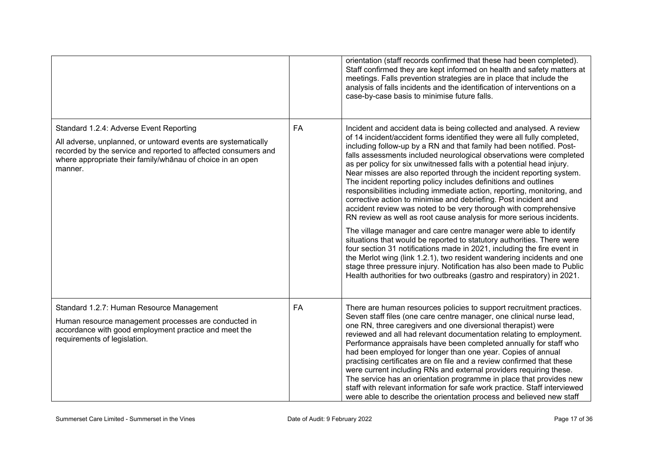|                                                                                                                                                                                                                                                     |           | orientation (staff records confirmed that these had been completed).<br>Staff confirmed they are kept informed on health and safety matters at<br>meetings. Falls prevention strategies are in place that include the<br>analysis of falls incidents and the identification of interventions on a<br>case-by-case basis to minimise future falls.                                                                                                                                                                                                                                                                                                                                                                                                                                                                                                                                                                                                                                                                                                                                                                                                                                                                                                                    |
|-----------------------------------------------------------------------------------------------------------------------------------------------------------------------------------------------------------------------------------------------------|-----------|----------------------------------------------------------------------------------------------------------------------------------------------------------------------------------------------------------------------------------------------------------------------------------------------------------------------------------------------------------------------------------------------------------------------------------------------------------------------------------------------------------------------------------------------------------------------------------------------------------------------------------------------------------------------------------------------------------------------------------------------------------------------------------------------------------------------------------------------------------------------------------------------------------------------------------------------------------------------------------------------------------------------------------------------------------------------------------------------------------------------------------------------------------------------------------------------------------------------------------------------------------------------|
| Standard 1.2.4: Adverse Event Reporting<br>All adverse, unplanned, or untoward events are systematically<br>recorded by the service and reported to affected consumers and<br>where appropriate their family/whanau of choice in an open<br>manner. | <b>FA</b> | Incident and accident data is being collected and analysed. A review<br>of 14 incident/accident forms identified they were all fully completed,<br>including follow-up by a RN and that family had been notified. Post-<br>falls assessments included neurological observations were completed<br>as per policy for six unwitnessed falls with a potential head injury.<br>Near misses are also reported through the incident reporting system.<br>The incident reporting policy includes definitions and outlines<br>responsibilities including immediate action, reporting, monitoring, and<br>corrective action to minimise and debriefing. Post incident and<br>accident review was noted to be very thorough with comprehensive<br>RN review as well as root cause analysis for more serious incidents.<br>The village manager and care centre manager were able to identify<br>situations that would be reported to statutory authorities. There were<br>four section 31 notifications made in 2021, including the fire event in<br>the Merlot wing (link 1.2.1), two resident wandering incidents and one<br>stage three pressure injury. Notification has also been made to Public<br>Health authorities for two outbreaks (gastro and respiratory) in 2021. |
| Standard 1.2.7: Human Resource Management<br>Human resource management processes are conducted in<br>accordance with good employment practice and meet the<br>requirements of legislation.                                                          | FA        | There are human resources policies to support recruitment practices.<br>Seven staff files (one care centre manager, one clinical nurse lead,<br>one RN, three caregivers and one diversional therapist) were<br>reviewed and all had relevant documentation relating to employment.<br>Performance appraisals have been completed annually for staff who<br>had been employed for longer than one year. Copies of annual<br>practising certificates are on file and a review confirmed that these<br>were current including RNs and external providers requiring these.<br>The service has an orientation programme in place that provides new<br>staff with relevant information for safe work practice. Staff interviewed<br>were able to describe the orientation process and believed new staff                                                                                                                                                                                                                                                                                                                                                                                                                                                                  |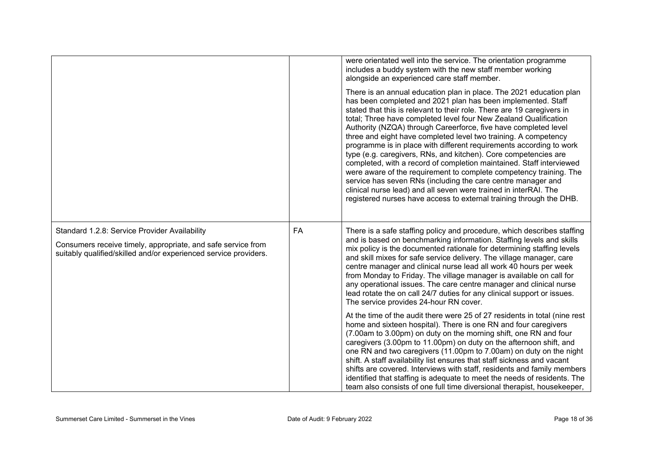|                                                                                                                                                                                   |    | were orientated well into the service. The orientation programme<br>includes a buddy system with the new staff member working<br>alongside an experienced care staff member.                                                                                                                                                                                                                                                                                                                                                                                                                                                                                                                                                                                                                                                                                                                                               |
|-----------------------------------------------------------------------------------------------------------------------------------------------------------------------------------|----|----------------------------------------------------------------------------------------------------------------------------------------------------------------------------------------------------------------------------------------------------------------------------------------------------------------------------------------------------------------------------------------------------------------------------------------------------------------------------------------------------------------------------------------------------------------------------------------------------------------------------------------------------------------------------------------------------------------------------------------------------------------------------------------------------------------------------------------------------------------------------------------------------------------------------|
|                                                                                                                                                                                   |    | There is an annual education plan in place. The 2021 education plan<br>has been completed and 2021 plan has been implemented. Staff<br>stated that this is relevant to their role. There are 19 caregivers in<br>total; Three have completed level four New Zealand Qualification<br>Authority (NZQA) through Careerforce, five have completed level<br>three and eight have completed level two training. A competency<br>programme is in place with different requirements according to work<br>type (e.g. caregivers, RNs, and kitchen). Core competencies are<br>completed, with a record of completion maintained. Staff interviewed<br>were aware of the requirement to complete competency training. The<br>service has seven RNs (including the care centre manager and<br>clinical nurse lead) and all seven were trained in interRAI. The<br>registered nurses have access to external training through the DHB. |
| Standard 1.2.8: Service Provider Availability<br>Consumers receive timely, appropriate, and safe service from<br>suitably qualified/skilled and/or experienced service providers. | FA | There is a safe staffing policy and procedure, which describes staffing<br>and is based on benchmarking information. Staffing levels and skills<br>mix policy is the documented rationale for determining staffing levels<br>and skill mixes for safe service delivery. The village manager, care<br>centre manager and clinical nurse lead all work 40 hours per week<br>from Monday to Friday. The village manager is available on call for<br>any operational issues. The care centre manager and clinical nurse<br>lead rotate the on call 24/7 duties for any clinical support or issues.<br>The service provides 24-hour RN cover.                                                                                                                                                                                                                                                                                   |
|                                                                                                                                                                                   |    | At the time of the audit there were 25 of 27 residents in total (nine rest)<br>home and sixteen hospital). There is one RN and four caregivers<br>(7.00am to 3.00pm) on duty on the morning shift, one RN and four<br>caregivers (3.00pm to 11.00pm) on duty on the afternoon shift, and<br>one RN and two caregivers (11.00pm to 7.00am) on duty on the night<br>shift. A staff availability list ensures that staff sickness and vacant<br>shifts are covered. Interviews with staff, residents and family members<br>identified that staffing is adequate to meet the needs of residents. The<br>team also consists of one full time diversional therapist, housekeeper,                                                                                                                                                                                                                                                |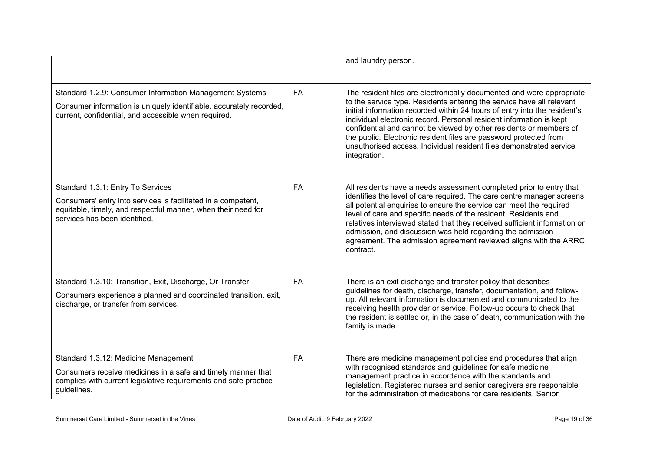|                                                                                                                                                                                                      |           | and laundry person.                                                                                                                                                                                                                                                                                                                                                                                                                                                                                                                  |
|------------------------------------------------------------------------------------------------------------------------------------------------------------------------------------------------------|-----------|--------------------------------------------------------------------------------------------------------------------------------------------------------------------------------------------------------------------------------------------------------------------------------------------------------------------------------------------------------------------------------------------------------------------------------------------------------------------------------------------------------------------------------------|
| Standard 1.2.9: Consumer Information Management Systems<br>Consumer information is uniquely identifiable, accurately recorded,<br>current, confidential, and accessible when required.               | <b>FA</b> | The resident files are electronically documented and were appropriate<br>to the service type. Residents entering the service have all relevant<br>initial information recorded within 24 hours of entry into the resident's<br>individual electronic record. Personal resident information is kept<br>confidential and cannot be viewed by other residents or members of<br>the public. Electronic resident files are password protected from<br>unauthorised access. Individual resident files demonstrated service<br>integration. |
| Standard 1.3.1: Entry To Services<br>Consumers' entry into services is facilitated in a competent,<br>equitable, timely, and respectful manner, when their need for<br>services has been identified. | <b>FA</b> | All residents have a needs assessment completed prior to entry that<br>identifies the level of care required. The care centre manager screens<br>all potential enquiries to ensure the service can meet the required<br>level of care and specific needs of the resident. Residents and<br>relatives interviewed stated that they received sufficient information on<br>admission, and discussion was held regarding the admission<br>agreement. The admission agreement reviewed aligns with the ARRC<br>contract.                  |
| Standard 1.3.10: Transition, Exit, Discharge, Or Transfer<br>Consumers experience a planned and coordinated transition, exit,<br>discharge, or transfer from services.                               | <b>FA</b> | There is an exit discharge and transfer policy that describes<br>guidelines for death, discharge, transfer, documentation, and follow-<br>up. All relevant information is documented and communicated to the<br>receiving health provider or service. Follow-up occurs to check that<br>the resident is settled or, in the case of death, communication with the<br>family is made.                                                                                                                                                  |
| Standard 1.3.12: Medicine Management<br>Consumers receive medicines in a safe and timely manner that<br>complies with current legislative requirements and safe practice<br>guidelines.              | FA        | There are medicine management policies and procedures that align<br>with recognised standards and guidelines for safe medicine<br>management practice in accordance with the standards and<br>legislation. Registered nurses and senior caregivers are responsible<br>for the administration of medications for care residents. Senior                                                                                                                                                                                               |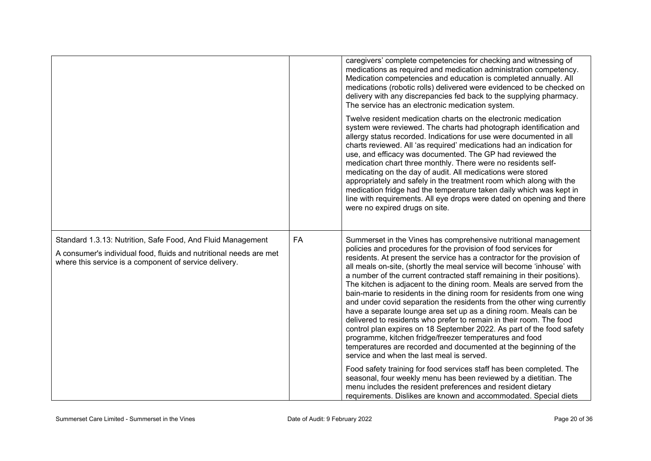|                                                                                                                                                                                             |    | caregivers' complete competencies for checking and witnessing of<br>medications as required and medication administration competency.<br>Medication competencies and education is completed annually. All<br>medications (robotic rolls) delivered were evidenced to be checked on<br>delivery with any discrepancies fed back to the supplying pharmacy.<br>The service has an electronic medication system.<br>Twelve resident medication charts on the electronic medication<br>system were reviewed. The charts had photograph identification and<br>allergy status recorded. Indications for use were documented in all<br>charts reviewed. All 'as required' medications had an indication for<br>use, and efficacy was documented. The GP had reviewed the<br>medication chart three monthly. There were no residents self-<br>medicating on the day of audit. All medications were stored<br>appropriately and safely in the treatment room which along with the<br>medication fridge had the temperature taken daily which was kept in<br>line with requirements. All eye drops were dated on opening and there<br>were no expired drugs on site.                                                                                                                      |
|---------------------------------------------------------------------------------------------------------------------------------------------------------------------------------------------|----|---------------------------------------------------------------------------------------------------------------------------------------------------------------------------------------------------------------------------------------------------------------------------------------------------------------------------------------------------------------------------------------------------------------------------------------------------------------------------------------------------------------------------------------------------------------------------------------------------------------------------------------------------------------------------------------------------------------------------------------------------------------------------------------------------------------------------------------------------------------------------------------------------------------------------------------------------------------------------------------------------------------------------------------------------------------------------------------------------------------------------------------------------------------------------------------------------------------------------------------------------------------------------------|
| Standard 1.3.13: Nutrition, Safe Food, And Fluid Management<br>A consumer's individual food, fluids and nutritional needs are met<br>where this service is a component of service delivery. | FA | Summerset in the Vines has comprehensive nutritional management<br>policies and procedures for the provision of food services for<br>residents. At present the service has a contractor for the provision of<br>all meals on-site, (shortly the meal service will become 'inhouse' with<br>a number of the current contracted staff remaining in their positions).<br>The kitchen is adjacent to the dining room. Meals are served from the<br>bain-marie to residents in the dining room for residents from one wing<br>and under covid separation the residents from the other wing currently<br>have a separate lounge area set up as a dining room. Meals can be<br>delivered to residents who prefer to remain in their room. The food<br>control plan expires on 18 September 2022. As part of the food safety<br>programme, kitchen fridge/freezer temperatures and food<br>temperatures are recorded and documented at the beginning of the<br>service and when the last meal is served.<br>Food safety training for food services staff has been completed. The<br>seasonal, four weekly menu has been reviewed by a dietitian. The<br>menu includes the resident preferences and resident dietary<br>requirements. Dislikes are known and accommodated. Special diets |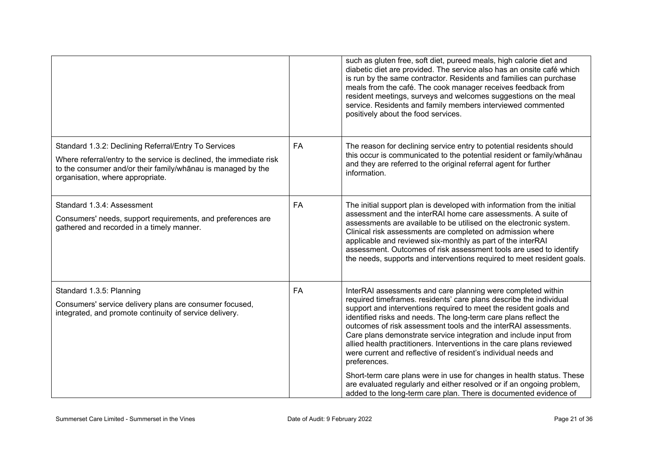|                                                                                                                                                                                                                                 |           | such as gluten free, soft diet, pureed meals, high calorie diet and<br>diabetic diet are provided. The service also has an onsite café which<br>is run by the same contractor. Residents and families can purchase<br>meals from the café. The cook manager receives feedback from<br>resident meetings, surveys and welcomes suggestions on the meal<br>service. Residents and family members interviewed commented<br>positively about the food services.                                                                                                                    |
|---------------------------------------------------------------------------------------------------------------------------------------------------------------------------------------------------------------------------------|-----------|--------------------------------------------------------------------------------------------------------------------------------------------------------------------------------------------------------------------------------------------------------------------------------------------------------------------------------------------------------------------------------------------------------------------------------------------------------------------------------------------------------------------------------------------------------------------------------|
| Standard 1.3.2: Declining Referral/Entry To Services<br>Where referral/entry to the service is declined, the immediate risk<br>to the consumer and/or their family/whanau is managed by the<br>organisation, where appropriate. | FA        | The reason for declining service entry to potential residents should<br>this occur is communicated to the potential resident or family/whanau<br>and they are referred to the original referral agent for further<br>information.                                                                                                                                                                                                                                                                                                                                              |
| Standard 1.3.4: Assessment<br>Consumers' needs, support requirements, and preferences are<br>gathered and recorded in a timely manner.                                                                                          | <b>FA</b> | The initial support plan is developed with information from the initial<br>assessment and the interRAI home care assessments. A suite of<br>assessments are available to be utilised on the electronic system.<br>Clinical risk assessments are completed on admission where<br>applicable and reviewed six-monthly as part of the interRAI<br>assessment. Outcomes of risk assessment tools are used to identify<br>the needs, supports and interventions required to meet resident goals.                                                                                    |
| Standard 1.3.5: Planning<br>Consumers' service delivery plans are consumer focused,<br>integrated, and promote continuity of service delivery.                                                                                  | FA        | InterRAI assessments and care planning were completed within<br>required timeframes. residents' care plans describe the individual<br>support and interventions required to meet the resident goals and<br>identified risks and needs. The long-term care plans reflect the<br>outcomes of risk assessment tools and the interRAI assessments.<br>Care plans demonstrate service integration and include input from<br>allied health practitioners. Interventions in the care plans reviewed<br>were current and reflective of resident's individual needs and<br>preferences. |
|                                                                                                                                                                                                                                 |           | Short-term care plans were in use for changes in health status. These<br>are evaluated regularly and either resolved or if an ongoing problem,<br>added to the long-term care plan. There is documented evidence of                                                                                                                                                                                                                                                                                                                                                            |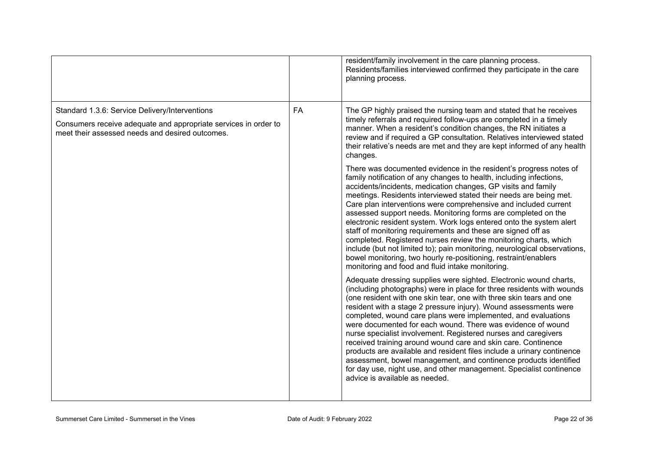|                                                                                                                                                                      |           | resident/family involvement in the care planning process.<br>Residents/families interviewed confirmed they participate in the care<br>planning process.                                                                                                                                                                                                                                                                                                                                                                                                                                                                                                                                                                                                                                                                           |
|----------------------------------------------------------------------------------------------------------------------------------------------------------------------|-----------|-----------------------------------------------------------------------------------------------------------------------------------------------------------------------------------------------------------------------------------------------------------------------------------------------------------------------------------------------------------------------------------------------------------------------------------------------------------------------------------------------------------------------------------------------------------------------------------------------------------------------------------------------------------------------------------------------------------------------------------------------------------------------------------------------------------------------------------|
| Standard 1.3.6: Service Delivery/Interventions<br>Consumers receive adequate and appropriate services in order to<br>meet their assessed needs and desired outcomes. | <b>FA</b> | The GP highly praised the nursing team and stated that he receives<br>timely referrals and required follow-ups are completed in a timely<br>manner. When a resident's condition changes, the RN initiates a<br>review and if required a GP consultation. Relatives interviewed stated<br>their relative's needs are met and they are kept informed of any health<br>changes.                                                                                                                                                                                                                                                                                                                                                                                                                                                      |
|                                                                                                                                                                      |           | There was documented evidence in the resident's progress notes of<br>family notification of any changes to health, including infections,<br>accidents/incidents, medication changes, GP visits and family<br>meetings. Residents interviewed stated their needs are being met.<br>Care plan interventions were comprehensive and included current<br>assessed support needs. Monitoring forms are completed on the<br>electronic resident system. Work logs entered onto the system alert<br>staff of monitoring requirements and these are signed off as<br>completed. Registered nurses review the monitoring charts, which<br>include (but not limited to); pain monitoring, neurological observations,<br>bowel monitoring, two hourly re-positioning, restraint/enablers<br>monitoring and food and fluid intake monitoring. |
|                                                                                                                                                                      |           | Adequate dressing supplies were sighted. Electronic wound charts,<br>(including photographs) were in place for three residents with wounds<br>(one resident with one skin tear, one with three skin tears and one<br>resident with a stage 2 pressure injury). Wound assessments were<br>completed, wound care plans were implemented, and evaluations<br>were documented for each wound. There was evidence of wound<br>nurse specialist involvement. Registered nurses and caregivers<br>received training around wound care and skin care. Continence<br>products are available and resident files include a urinary continence<br>assessment, bowel management, and continence products identified<br>for day use, night use, and other management. Specialist continence<br>advice is available as needed.                   |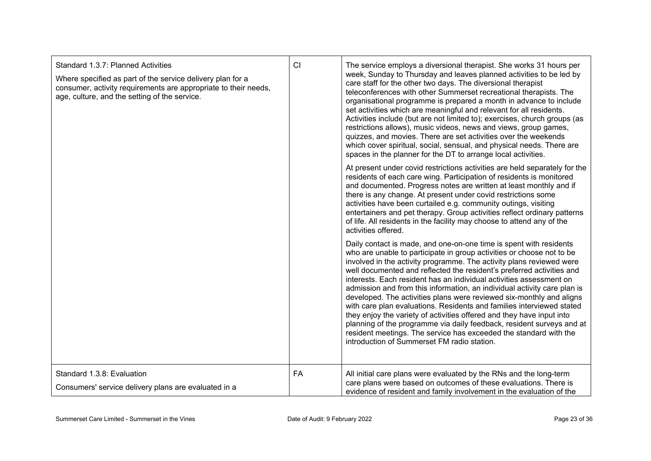| Standard 1.3.7: Planned Activities<br>Where specified as part of the service delivery plan for a<br>consumer, activity requirements are appropriate to their needs,<br>age, culture, and the setting of the service. | CI        | The service employs a diversional therapist. She works 31 hours per<br>week, Sunday to Thursday and leaves planned activities to be led by<br>care staff for the other two days. The diversional therapist<br>teleconferences with other Summerset recreational therapists. The<br>organisational programme is prepared a month in advance to include<br>set activities which are meaningful and relevant for all residents.<br>Activities include (but are not limited to); exercises, church groups (as<br>restrictions allows), music videos, news and views, group games,<br>quizzes, and movies. There are set activities over the weekends<br>which cover spiritual, social, sensual, and physical needs. There are<br>spaces in the planner for the DT to arrange local activities.<br>At present under covid restrictions activities are held separately for the |
|----------------------------------------------------------------------------------------------------------------------------------------------------------------------------------------------------------------------|-----------|--------------------------------------------------------------------------------------------------------------------------------------------------------------------------------------------------------------------------------------------------------------------------------------------------------------------------------------------------------------------------------------------------------------------------------------------------------------------------------------------------------------------------------------------------------------------------------------------------------------------------------------------------------------------------------------------------------------------------------------------------------------------------------------------------------------------------------------------------------------------------|
|                                                                                                                                                                                                                      |           | residents of each care wing. Participation of residents is monitored<br>and documented. Progress notes are written at least monthly and if<br>there is any change. At present under covid restrictions some<br>activities have been curtailed e.g. community outings, visiting<br>entertainers and pet therapy. Group activities reflect ordinary patterns<br>of life. All residents in the facility may choose to attend any of the<br>activities offered.                                                                                                                                                                                                                                                                                                                                                                                                              |
|                                                                                                                                                                                                                      |           | Daily contact is made, and one-on-one time is spent with residents<br>who are unable to participate in group activities or choose not to be<br>involved in the activity programme. The activity plans reviewed were<br>well documented and reflected the resident's preferred activities and<br>interests. Each resident has an individual activities assessment on<br>admission and from this information, an individual activity care plan is<br>developed. The activities plans were reviewed six-monthly and aligns<br>with care plan evaluations. Residents and families interviewed stated<br>they enjoy the variety of activities offered and they have input into<br>planning of the programme via daily feedback, resident surveys and at<br>resident meetings. The service has exceeded the standard with the<br>introduction of Summerset FM radio station.   |
| Standard 1.3.8: Evaluation<br>Consumers' service delivery plans are evaluated in a                                                                                                                                   | <b>FA</b> | All initial care plans were evaluated by the RNs and the long-term<br>care plans were based on outcomes of these evaluations. There is<br>evidence of resident and family involvement in the evaluation of the                                                                                                                                                                                                                                                                                                                                                                                                                                                                                                                                                                                                                                                           |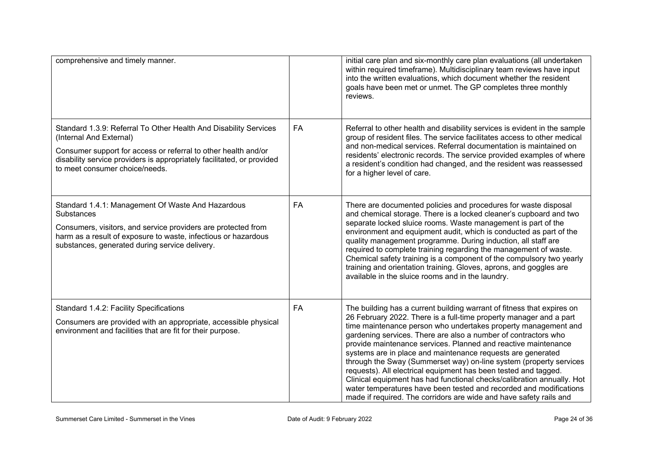| comprehensive and timely manner.                                                                                                                                                                                                                                          |    | initial care plan and six-monthly care plan evaluations (all undertaken<br>within required timeframe). Multidisciplinary team reviews have input<br>into the written evaluations, which document whether the resident<br>goals have been met or unmet. The GP completes three monthly<br>reviews.                                                                                                                                                                                                                                                                                                                                                                                                                                                                                |
|---------------------------------------------------------------------------------------------------------------------------------------------------------------------------------------------------------------------------------------------------------------------------|----|----------------------------------------------------------------------------------------------------------------------------------------------------------------------------------------------------------------------------------------------------------------------------------------------------------------------------------------------------------------------------------------------------------------------------------------------------------------------------------------------------------------------------------------------------------------------------------------------------------------------------------------------------------------------------------------------------------------------------------------------------------------------------------|
| Standard 1.3.9: Referral To Other Health And Disability Services<br>(Internal And External)<br>Consumer support for access or referral to other health and/or<br>disability service providers is appropriately facilitated, or provided<br>to meet consumer choice/needs. | FA | Referral to other health and disability services is evident in the sample<br>group of resident files. The service facilitates access to other medical<br>and non-medical services. Referral documentation is maintained on<br>residents' electronic records. The service provided examples of where<br>a resident's condition had changed, and the resident was reassessed<br>for a higher level of care.                                                                                                                                                                                                                                                                                                                                                                        |
| Standard 1.4.1: Management Of Waste And Hazardous<br>Substances<br>Consumers, visitors, and service providers are protected from<br>harm as a result of exposure to waste, infectious or hazardous<br>substances, generated during service delivery.                      | FA | There are documented policies and procedures for waste disposal<br>and chemical storage. There is a locked cleaner's cupboard and two<br>separate locked sluice rooms. Waste management is part of the<br>environment and equipment audit, which is conducted as part of the<br>quality management programme. During induction, all staff are<br>required to complete training regarding the management of waste.<br>Chemical safety training is a component of the compulsory two yearly<br>training and orientation training. Gloves, aprons, and goggles are<br>available in the sluice rooms and in the laundry.                                                                                                                                                             |
| Standard 1.4.2: Facility Specifications<br>Consumers are provided with an appropriate, accessible physical<br>environment and facilities that are fit for their purpose.                                                                                                  | FA | The building has a current building warrant of fitness that expires on<br>26 February 2022. There is a full-time property manager and a part<br>time maintenance person who undertakes property management and<br>gardening services. There are also a number of contractors who<br>provide maintenance services. Planned and reactive maintenance<br>systems are in place and maintenance requests are generated<br>through the Sway (Summerset way) on-line system (property services<br>requests). All electrical equipment has been tested and tagged.<br>Clinical equipment has had functional checks/calibration annually. Hot<br>water temperatures have been tested and recorded and modifications<br>made if required. The corridors are wide and have safety rails and |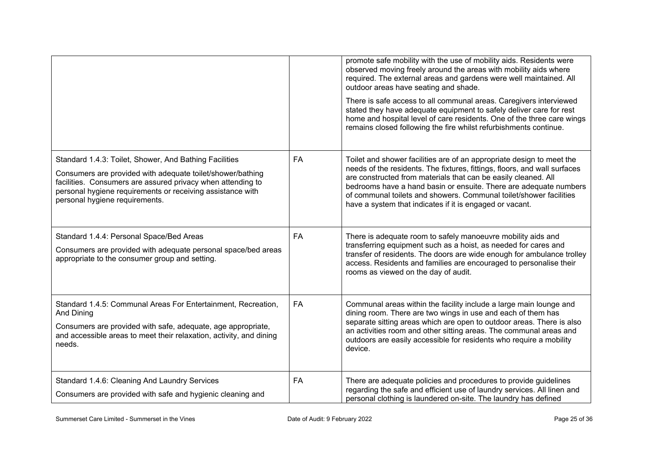|                                                                                                                                                                                                                                                                                     |           | promote safe mobility with the use of mobility aids. Residents were<br>observed moving freely around the areas with mobility aids where<br>required. The external areas and gardens were well maintained. All<br>outdoor areas have seating and shade.<br>There is safe access to all communal areas. Caregivers interviewed<br>stated they have adequate equipment to safely deliver care for rest<br>home and hospital level of care residents. One of the three care wings<br>remains closed following the fire whilst refurbishments continue. |
|-------------------------------------------------------------------------------------------------------------------------------------------------------------------------------------------------------------------------------------------------------------------------------------|-----------|----------------------------------------------------------------------------------------------------------------------------------------------------------------------------------------------------------------------------------------------------------------------------------------------------------------------------------------------------------------------------------------------------------------------------------------------------------------------------------------------------------------------------------------------------|
| Standard 1.4.3: Toilet, Shower, And Bathing Facilities<br>Consumers are provided with adequate toilet/shower/bathing<br>facilities. Consumers are assured privacy when attending to<br>personal hygiene requirements or receiving assistance with<br>personal hygiene requirements. | FA        | Toilet and shower facilities are of an appropriate design to meet the<br>needs of the residents. The fixtures, fittings, floors, and wall surfaces<br>are constructed from materials that can be easily cleaned. All<br>bedrooms have a hand basin or ensuite. There are adequate numbers<br>of communal toilets and showers. Communal toilet/shower facilities<br>have a system that indicates if it is engaged or vacant.                                                                                                                        |
| Standard 1.4.4: Personal Space/Bed Areas<br>Consumers are provided with adequate personal space/bed areas<br>appropriate to the consumer group and setting.                                                                                                                         | <b>FA</b> | There is adequate room to safely manoeuvre mobility aids and<br>transferring equipment such as a hoist, as needed for cares and<br>transfer of residents. The doors are wide enough for ambulance trolley<br>access. Residents and families are encouraged to personalise their<br>rooms as viewed on the day of audit.                                                                                                                                                                                                                            |
| Standard 1.4.5: Communal Areas For Entertainment, Recreation,<br>And Dining<br>Consumers are provided with safe, adequate, age appropriate,<br>and accessible areas to meet their relaxation, activity, and dining<br>needs.                                                        | FA        | Communal areas within the facility include a large main lounge and<br>dining room. There are two wings in use and each of them has<br>separate sitting areas which are open to outdoor areas. There is also<br>an activities room and other sitting areas. The communal areas and<br>outdoors are easily accessible for residents who require a mobility<br>device.                                                                                                                                                                                |
| Standard 1.4.6: Cleaning And Laundry Services<br>Consumers are provided with safe and hygienic cleaning and                                                                                                                                                                         | FA        | There are adequate policies and procedures to provide guidelines<br>regarding the safe and efficient use of laundry services. All linen and<br>personal clothing is laundered on-site. The laundry has defined                                                                                                                                                                                                                                                                                                                                     |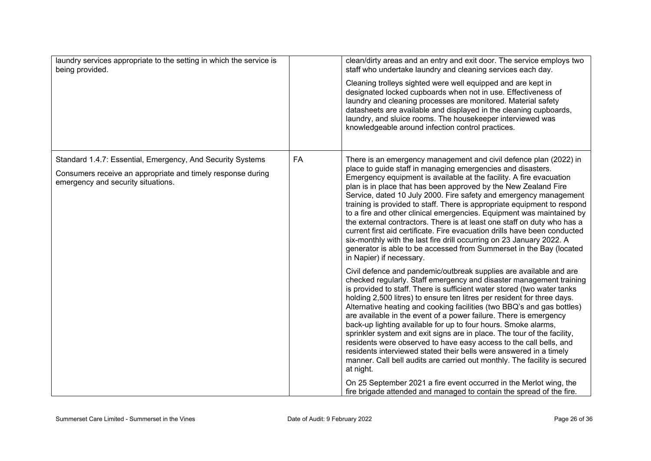| laundry services appropriate to the setting in which the service is<br>being provided.                                                                                |  | clean/dirty areas and an entry and exit door. The service employs two<br>staff who undertake laundry and cleaning services each day.<br>Cleaning trolleys sighted were well equipped and are kept in<br>designated locked cupboards when not in use. Effectiveness of<br>laundry and cleaning processes are monitored. Material safety<br>datasheets are available and displayed in the cleaning cupboards,<br>laundry, and sluice rooms. The housekeeper interviewed was<br>knowledgeable around infection control practices.                                                                                                                                                                                                                                                                                                                                                                                                                                                  |
|-----------------------------------------------------------------------------------------------------------------------------------------------------------------------|--|---------------------------------------------------------------------------------------------------------------------------------------------------------------------------------------------------------------------------------------------------------------------------------------------------------------------------------------------------------------------------------------------------------------------------------------------------------------------------------------------------------------------------------------------------------------------------------------------------------------------------------------------------------------------------------------------------------------------------------------------------------------------------------------------------------------------------------------------------------------------------------------------------------------------------------------------------------------------------------|
| Standard 1.4.7: Essential, Emergency, And Security Systems<br>FA<br>Consumers receive an appropriate and timely response during<br>emergency and security situations. |  | There is an emergency management and civil defence plan (2022) in<br>place to guide staff in managing emergencies and disasters.<br>Emergency equipment is available at the facility. A fire evacuation<br>plan is in place that has been approved by the New Zealand Fire<br>Service, dated 10 July 2000. Fire safety and emergency management<br>training is provided to staff. There is appropriate equipment to respond<br>to a fire and other clinical emergencies. Equipment was maintained by<br>the external contractors. There is at least one staff on duty who has a<br>current first aid certificate. Fire evacuation drills have been conducted<br>six-monthly with the last fire drill occurring on 23 January 2022. A<br>generator is able to be accessed from Summerset in the Bay (located<br>in Napier) if necessary.                                                                                                                                         |
|                                                                                                                                                                       |  | Civil defence and pandemic/outbreak supplies are available and are<br>checked regularly. Staff emergency and disaster management training<br>is provided to staff. There is sufficient water stored (two water tanks<br>holding 2,500 litres) to ensure ten litres per resident for three days.<br>Alternative heating and cooking facilities (two BBQ's and gas bottles)<br>are available in the event of a power failure. There is emergency<br>back-up lighting available for up to four hours. Smoke alarms,<br>sprinkler system and exit signs are in place. The tour of the facility,<br>residents were observed to have easy access to the call bells, and<br>residents interviewed stated their bells were answered in a timely<br>manner. Call bell audits are carried out monthly. The facility is secured<br>at night.<br>On 25 September 2021 a fire event occurred in the Merlot wing, the<br>fire brigade attended and managed to contain the spread of the fire. |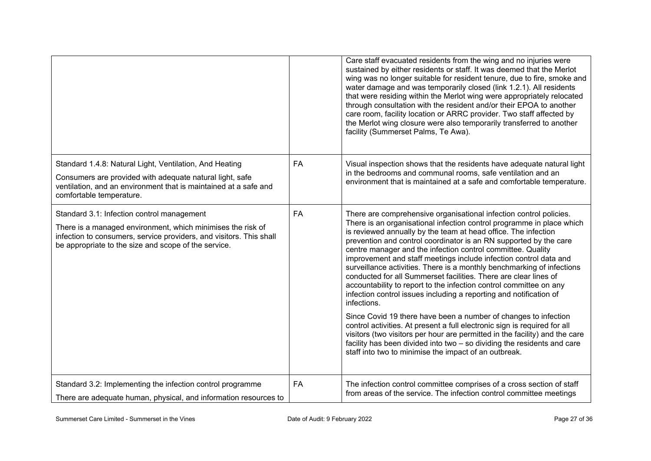|                                                                                                                                                                                                                                          |           | Care staff evacuated residents from the wing and no injuries were<br>sustained by either residents or staff. It was deemed that the Merlot<br>wing was no longer suitable for resident tenure, due to fire, smoke and<br>water damage and was temporarily closed (link 1.2.1). All residents<br>that were residing within the Merlot wing were appropriately relocated<br>through consultation with the resident and/or their EPOA to another<br>care room, facility location or ARRC provider. Two staff affected by<br>the Merlot wing closure were also temporarily transferred to another<br>facility (Summerset Palms, Te Awa).                                                                                                                                                                                                                                                                                                                                                                                                                                                               |
|------------------------------------------------------------------------------------------------------------------------------------------------------------------------------------------------------------------------------------------|-----------|----------------------------------------------------------------------------------------------------------------------------------------------------------------------------------------------------------------------------------------------------------------------------------------------------------------------------------------------------------------------------------------------------------------------------------------------------------------------------------------------------------------------------------------------------------------------------------------------------------------------------------------------------------------------------------------------------------------------------------------------------------------------------------------------------------------------------------------------------------------------------------------------------------------------------------------------------------------------------------------------------------------------------------------------------------------------------------------------------|
| Standard 1.4.8: Natural Light, Ventilation, And Heating<br>Consumers are provided with adequate natural light, safe<br>ventilation, and an environment that is maintained at a safe and<br>comfortable temperature.                      | FA        | Visual inspection shows that the residents have adequate natural light<br>in the bedrooms and communal rooms, safe ventilation and an<br>environment that is maintained at a safe and comfortable temperature.                                                                                                                                                                                                                                                                                                                                                                                                                                                                                                                                                                                                                                                                                                                                                                                                                                                                                     |
| Standard 3.1: Infection control management<br>There is a managed environment, which minimises the risk of<br>infection to consumers, service providers, and visitors. This shall<br>be appropriate to the size and scope of the service. | FA        | There are comprehensive organisational infection control policies.<br>There is an organisational infection control programme in place which<br>is reviewed annually by the team at head office. The infection<br>prevention and control coordinator is an RN supported by the care<br>centre manager and the infection control committee. Quality<br>improvement and staff meetings include infection control data and<br>surveillance activities. There is a monthly benchmarking of infections<br>conducted for all Summerset facilities. There are clear lines of<br>accountability to report to the infection control committee on any<br>infection control issues including a reporting and notification of<br>infections.<br>Since Covid 19 there have been a number of changes to infection<br>control activities. At present a full electronic sign is required for all<br>visitors (two visitors per hour are permitted in the facility) and the care<br>facility has been divided into two - so dividing the residents and care<br>staff into two to minimise the impact of an outbreak. |
| Standard 3.2: Implementing the infection control programme<br>There are adequate human, physical, and information resources to                                                                                                           | <b>FA</b> | The infection control committee comprises of a cross section of staff<br>from areas of the service. The infection control committee meetings                                                                                                                                                                                                                                                                                                                                                                                                                                                                                                                                                                                                                                                                                                                                                                                                                                                                                                                                                       |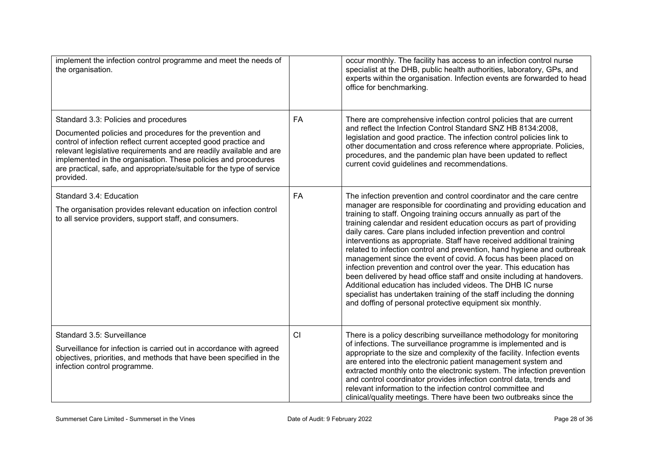| implement the infection control programme and meet the needs of<br>the organisation.                                                                                                                                                                                                                                                                                                                 |    | occur monthly. The facility has access to an infection control nurse<br>specialist at the DHB, public health authorities, laboratory, GPs, and<br>experts within the organisation. Infection events are forwarded to head<br>office for benchmarking.                                                                                                                                                                                                                                                                                                                                                                                                                                                                                                                                                                                                                                                                                     |
|------------------------------------------------------------------------------------------------------------------------------------------------------------------------------------------------------------------------------------------------------------------------------------------------------------------------------------------------------------------------------------------------------|----|-------------------------------------------------------------------------------------------------------------------------------------------------------------------------------------------------------------------------------------------------------------------------------------------------------------------------------------------------------------------------------------------------------------------------------------------------------------------------------------------------------------------------------------------------------------------------------------------------------------------------------------------------------------------------------------------------------------------------------------------------------------------------------------------------------------------------------------------------------------------------------------------------------------------------------------------|
| Standard 3.3: Policies and procedures<br>Documented policies and procedures for the prevention and<br>control of infection reflect current accepted good practice and<br>relevant legislative requirements and are readily available and are<br>implemented in the organisation. These policies and procedures<br>are practical, safe, and appropriate/suitable for the type of service<br>provided. | FA | There are comprehensive infection control policies that are current<br>and reflect the Infection Control Standard SNZ HB 8134:2008,<br>legislation and good practice. The infection control policies link to<br>other documentation and cross reference where appropriate. Policies,<br>procedures, and the pandemic plan have been updated to reflect<br>current covid guidelines and recommendations.                                                                                                                                                                                                                                                                                                                                                                                                                                                                                                                                   |
| Standard 3.4: Education<br>The organisation provides relevant education on infection control<br>to all service providers, support staff, and consumers.                                                                                                                                                                                                                                              | FA | The infection prevention and control coordinator and the care centre<br>manager are responsible for coordinating and providing education and<br>training to staff. Ongoing training occurs annually as part of the<br>training calendar and resident education occurs as part of providing<br>daily cares. Care plans included infection prevention and control<br>interventions as appropriate. Staff have received additional training<br>related to infection control and prevention, hand hygiene and outbreak<br>management since the event of covid. A focus has been placed on<br>infection prevention and control over the year. This education has<br>been delivered by head office staff and onsite including at handovers.<br>Additional education has included videos. The DHB IC nurse<br>specialist has undertaken training of the staff including the donning<br>and doffing of personal protective equipment six monthly. |
| Standard 3.5: Surveillance<br>Surveillance for infection is carried out in accordance with agreed<br>objectives, priorities, and methods that have been specified in the<br>infection control programme.                                                                                                                                                                                             | CI | There is a policy describing surveillance methodology for monitoring<br>of infections. The surveillance programme is implemented and is<br>appropriate to the size and complexity of the facility. Infection events<br>are entered into the electronic patient management system and<br>extracted monthly onto the electronic system. The infection prevention<br>and control coordinator provides infection control data, trends and<br>relevant information to the infection control committee and<br>clinical/quality meetings. There have been two outbreaks since the                                                                                                                                                                                                                                                                                                                                                                |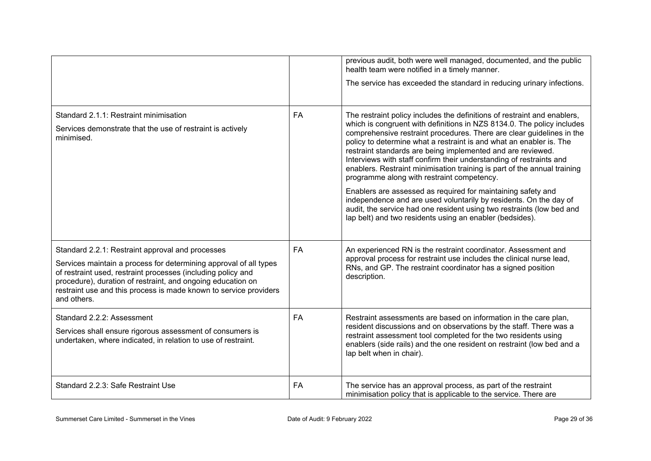|                                                                                                                                                                                                                                                                                                                                          |           | previous audit, both were well managed, documented, and the public<br>health team were notified in a timely manner.<br>The service has exceeded the standard in reducing urinary infections.                                                                                                                                                                                                                                                                                                                                                                                                                                                                                                                                                                                                                                                 |
|------------------------------------------------------------------------------------------------------------------------------------------------------------------------------------------------------------------------------------------------------------------------------------------------------------------------------------------|-----------|----------------------------------------------------------------------------------------------------------------------------------------------------------------------------------------------------------------------------------------------------------------------------------------------------------------------------------------------------------------------------------------------------------------------------------------------------------------------------------------------------------------------------------------------------------------------------------------------------------------------------------------------------------------------------------------------------------------------------------------------------------------------------------------------------------------------------------------------|
| Standard 2.1.1: Restraint minimisation<br>Services demonstrate that the use of restraint is actively<br>minimised.                                                                                                                                                                                                                       | <b>FA</b> | The restraint policy includes the definitions of restraint and enablers,<br>which is congruent with definitions in NZS 8134.0. The policy includes<br>comprehensive restraint procedures. There are clear guidelines in the<br>policy to determine what a restraint is and what an enabler is. The<br>restraint standards are being implemented and are reviewed.<br>Interviews with staff confirm their understanding of restraints and<br>enablers. Restraint minimisation training is part of the annual training<br>programme along with restraint competency.<br>Enablers are assessed as required for maintaining safety and<br>independence and are used voluntarily by residents. On the day of<br>audit, the service had one resident using two restraints (low bed and<br>lap belt) and two residents using an enabler (bedsides). |
| Standard 2.2.1: Restraint approval and processes<br>Services maintain a process for determining approval of all types<br>of restraint used, restraint processes (including policy and<br>procedure), duration of restraint, and ongoing education on<br>restraint use and this process is made known to service providers<br>and others. | FA        | An experienced RN is the restraint coordinator. Assessment and<br>approval process for restraint use includes the clinical nurse lead,<br>RNs, and GP. The restraint coordinator has a signed position<br>description.                                                                                                                                                                                                                                                                                                                                                                                                                                                                                                                                                                                                                       |
| Standard 2.2.2: Assessment<br>Services shall ensure rigorous assessment of consumers is<br>undertaken, where indicated, in relation to use of restraint.                                                                                                                                                                                 | <b>FA</b> | Restraint assessments are based on information in the care plan,<br>resident discussions and on observations by the staff. There was a<br>restraint assessment tool completed for the two residents using<br>enablers (side rails) and the one resident on restraint (low bed and a<br>lap belt when in chair).                                                                                                                                                                                                                                                                                                                                                                                                                                                                                                                              |
| Standard 2.2.3: Safe Restraint Use                                                                                                                                                                                                                                                                                                       | FA        | The service has an approval process, as part of the restraint<br>minimisation policy that is applicable to the service. There are                                                                                                                                                                                                                                                                                                                                                                                                                                                                                                                                                                                                                                                                                                            |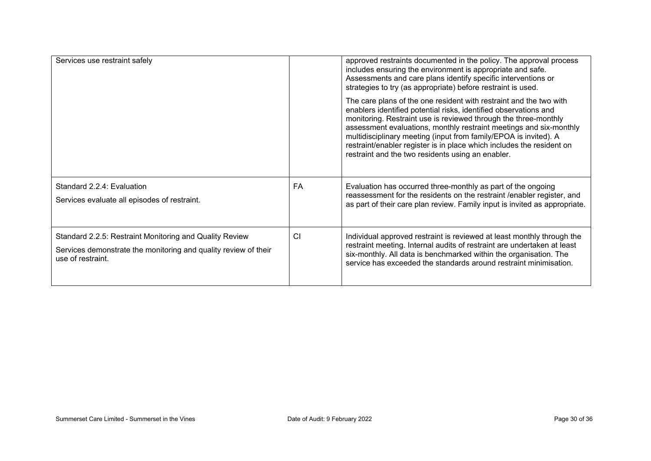| Services use restraint safely                                                                                                                   |    | approved restraints documented in the policy. The approval process<br>includes ensuring the environment is appropriate and safe.<br>Assessments and care plans identify specific interventions or<br>strategies to try (as appropriate) before restraint is used.                                                                                                                                                                                                                 |
|-------------------------------------------------------------------------------------------------------------------------------------------------|----|-----------------------------------------------------------------------------------------------------------------------------------------------------------------------------------------------------------------------------------------------------------------------------------------------------------------------------------------------------------------------------------------------------------------------------------------------------------------------------------|
|                                                                                                                                                 |    | The care plans of the one resident with restraint and the two with<br>enablers identified potential risks, identified observations and<br>monitoring. Restraint use is reviewed through the three-monthly<br>assessment evaluations, monthly restraint meetings and six-monthly<br>multidisciplinary meeting (input from family/EPOA is invited). A<br>restraint/enabler register is in place which includes the resident on<br>restraint and the two residents using an enabler. |
| Standard 2.2.4: Evaluation<br>Services evaluate all episodes of restraint.                                                                      | FA | Evaluation has occurred three-monthly as part of the ongoing<br>reassessment for the residents on the restraint / enabler register, and<br>as part of their care plan review. Family input is invited as appropriate.                                                                                                                                                                                                                                                             |
| Standard 2.2.5: Restraint Monitoring and Quality Review<br>Services demonstrate the monitoring and quality review of their<br>use of restraint. | CI | Individual approved restraint is reviewed at least monthly through the<br>restraint meeting. Internal audits of restraint are undertaken at least<br>six-monthly. All data is benchmarked within the organisation. The<br>service has exceeded the standards around restraint minimisation.                                                                                                                                                                                       |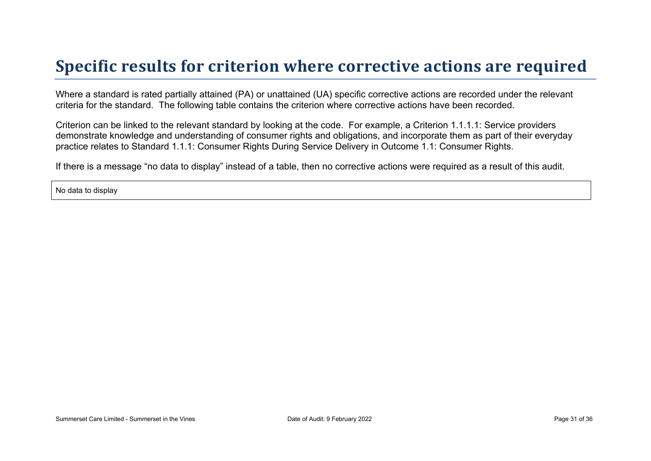### **Specific results for criterion where corrective actions are required**

Where a standard is rated partially attained (PA) or unattained (UA) specific corrective actions are recorded under the relevant criteria for the standard. The following table contains the criterion where corrective actions have been recorded.

Criterion can be linked to the relevant standard by looking at the code. For example, a Criterion 1.1.1.1: Service providers demonstrate knowledge and understanding of consumer rights and obligations, and incorporate them as part of their everyday practice relates to Standard 1.1.1: Consumer Rights During Service Delivery in Outcome 1.1: Consumer Rights.

If there is a message "no data to display" instead of a table, then no corrective actions were required as a result of this audit.

No data to display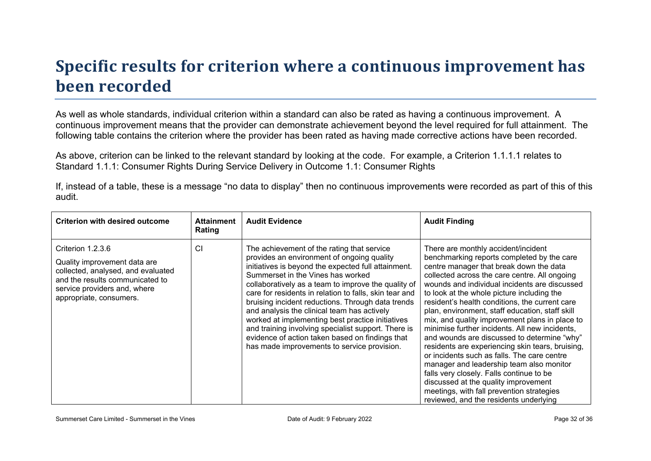# **Specific results for criterion where a continuous improvement has been recorded**

As well as whole standards, individual criterion within a standard can also be rated as having a continuous improvement. A continuous improvement means that the provider can demonstrate achievement beyond the level required for full attainment. The following table contains the criterion where the provider has been rated as having made corrective actions have been recorded.

As above, criterion can be linked to the relevant standard by looking at the code. For example, a Criterion 1.1.1.1 relates to Standard 1.1.1: Consumer Rights During Service Delivery in Outcome 1.1: Consumer Rights

If, instead of a table, these is a message "no data to display" then no continuous improvements were recorded as part of this of this audit.

| <b>Criterion with desired outcome</b>                                                                                                                                                 | <b>Attainment</b><br>Rating | <b>Audit Evidence</b>                                                                                                                                                                                                                                                                                                                                                                                                                                                                                                                                                                                                  | <b>Audit Finding</b>                                                                                                                                                                                                                                                                                                                                                                                                                                                                                                                                                                                                                                                                                                                                                                                                                                           |
|---------------------------------------------------------------------------------------------------------------------------------------------------------------------------------------|-----------------------------|------------------------------------------------------------------------------------------------------------------------------------------------------------------------------------------------------------------------------------------------------------------------------------------------------------------------------------------------------------------------------------------------------------------------------------------------------------------------------------------------------------------------------------------------------------------------------------------------------------------------|----------------------------------------------------------------------------------------------------------------------------------------------------------------------------------------------------------------------------------------------------------------------------------------------------------------------------------------------------------------------------------------------------------------------------------------------------------------------------------------------------------------------------------------------------------------------------------------------------------------------------------------------------------------------------------------------------------------------------------------------------------------------------------------------------------------------------------------------------------------|
| Criterion 1.2.3.6<br>Quality improvement data are<br>collected, analysed, and evaluated<br>and the results communicated to<br>service providers and, where<br>appropriate, consumers. | CI                          | The achievement of the rating that service<br>provides an environment of ongoing quality<br>initiatives is beyond the expected full attainment.<br>Summerset in the Vines has worked<br>collaboratively as a team to improve the quality of<br>care for residents in relation to falls, skin tear and<br>bruising incident reductions. Through data trends<br>and analysis the clinical team has actively<br>worked at implementing best practice initiatives<br>and training involving specialist support. There is<br>evidence of action taken based on findings that<br>has made improvements to service provision. | There are monthly accident/incident<br>benchmarking reports completed by the care<br>centre manager that break down the data<br>collected across the care centre. All ongoing<br>wounds and individual incidents are discussed<br>to look at the whole picture including the<br>resident's health conditions, the current care<br>plan, environment, staff education, staff skill<br>mix, and quality improvement plans in place to<br>minimise further incidents. All new incidents,<br>and wounds are discussed to determine "why"<br>residents are experiencing skin tears, bruising,<br>or incidents such as falls. The care centre<br>manager and leadership team also monitor<br>falls very closely. Falls continue to be<br>discussed at the quality improvement<br>meetings, with fall prevention strategies<br>reviewed, and the residents underlying |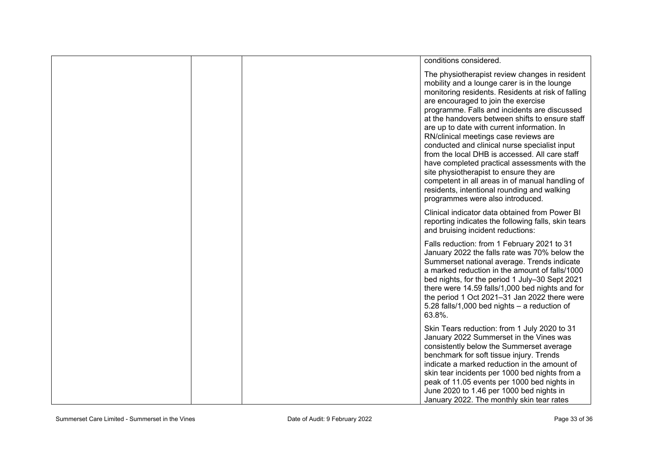|  | conditions considered.                                                                                                                                                                                                                                                                                                                                                                                                                                                                                                                                                                                                                                                                                                      |
|--|-----------------------------------------------------------------------------------------------------------------------------------------------------------------------------------------------------------------------------------------------------------------------------------------------------------------------------------------------------------------------------------------------------------------------------------------------------------------------------------------------------------------------------------------------------------------------------------------------------------------------------------------------------------------------------------------------------------------------------|
|  | The physiotherapist review changes in resident<br>mobility and a lounge carer is in the lounge<br>monitoring residents. Residents at risk of falling<br>are encouraged to join the exercise<br>programme. Falls and incidents are discussed<br>at the handovers between shifts to ensure staff<br>are up to date with current information. In<br>RN/clinical meetings case reviews are<br>conducted and clinical nurse specialist input<br>from the local DHB is accessed. All care staff<br>have completed practical assessments with the<br>site physiotherapist to ensure they are<br>competent in all areas in of manual handling of<br>residents, intentional rounding and walking<br>programmes were also introduced. |
|  | Clinical indicator data obtained from Power BI<br>reporting indicates the following falls, skin tears<br>and bruising incident reductions:                                                                                                                                                                                                                                                                                                                                                                                                                                                                                                                                                                                  |
|  | Falls reduction: from 1 February 2021 to 31<br>January 2022 the falls rate was 70% below the<br>Summerset national average. Trends indicate<br>a marked reduction in the amount of falls/1000<br>bed nights, for the period 1 July-30 Sept 2021<br>there were 14.59 falls/1,000 bed nights and for<br>the period 1 Oct 2021-31 Jan 2022 there were<br>5.28 falls/1,000 bed nights - a reduction of<br>63.8%.                                                                                                                                                                                                                                                                                                                |
|  | Skin Tears reduction: from 1 July 2020 to 31<br>January 2022 Summerset in the Vines was<br>consistently below the Summerset average<br>benchmark for soft tissue injury. Trends<br>indicate a marked reduction in the amount of<br>skin tear incidents per 1000 bed nights from a<br>peak of 11.05 events per 1000 bed nights in<br>June 2020 to 1.46 per 1000 bed nights in<br>January 2022. The monthly skin tear rates                                                                                                                                                                                                                                                                                                   |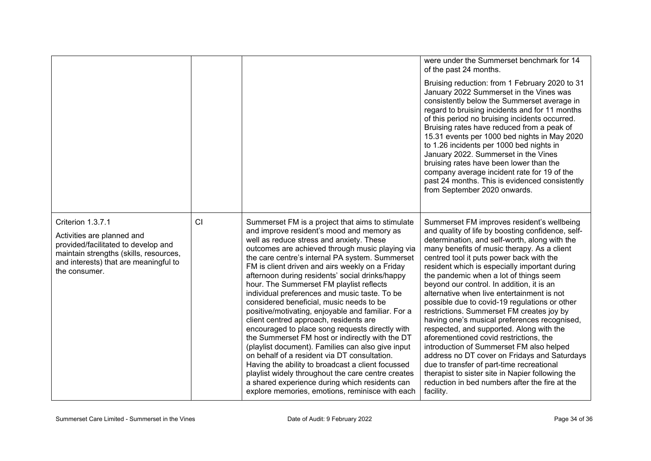|                                                                                                                                                                                            |    |                                                                                                                                                                                                                                                                                                                                                                                                                                                                                                                                                                                                                                                                                                                                                                                                                                                                                                                                                                                                                           | were under the Summerset benchmark for 14<br>of the past 24 months.<br>Bruising reduction: from 1 February 2020 to 31<br>January 2022 Summerset in the Vines was<br>consistently below the Summerset average in<br>regard to bruising incidents and for 11 months<br>of this period no bruising incidents occurred.<br>Bruising rates have reduced from a peak of<br>15.31 events per 1000 bed nights in May 2020<br>to 1.26 incidents per 1000 bed nights in<br>January 2022. Summerset in the Vines<br>bruising rates have been lower than the<br>company average incident rate for 19 of the<br>past 24 months. This is evidenced consistently<br>from September 2020 onwards.                                                                                                                                                                                                                                                 |
|--------------------------------------------------------------------------------------------------------------------------------------------------------------------------------------------|----|---------------------------------------------------------------------------------------------------------------------------------------------------------------------------------------------------------------------------------------------------------------------------------------------------------------------------------------------------------------------------------------------------------------------------------------------------------------------------------------------------------------------------------------------------------------------------------------------------------------------------------------------------------------------------------------------------------------------------------------------------------------------------------------------------------------------------------------------------------------------------------------------------------------------------------------------------------------------------------------------------------------------------|-----------------------------------------------------------------------------------------------------------------------------------------------------------------------------------------------------------------------------------------------------------------------------------------------------------------------------------------------------------------------------------------------------------------------------------------------------------------------------------------------------------------------------------------------------------------------------------------------------------------------------------------------------------------------------------------------------------------------------------------------------------------------------------------------------------------------------------------------------------------------------------------------------------------------------------|
| Criterion 1.3.7.1<br>Activities are planned and<br>provided/facilitated to develop and<br>maintain strengths (skills, resources,<br>and interests) that are meaningful to<br>the consumer. | CI | Summerset FM is a project that aims to stimulate<br>and improve resident's mood and memory as<br>well as reduce stress and anxiety. These<br>outcomes are achieved through music playing via<br>the care centre's internal PA system. Summerset<br>FM is client driven and airs weekly on a Friday<br>afternoon during residents' social drinks/happy<br>hour. The Summerset FM playlist reflects<br>individual preferences and music taste. To be<br>considered beneficial, music needs to be<br>positive/motivating, enjoyable and familiar. For a<br>client centred approach, residents are<br>encouraged to place song requests directly with<br>the Summerset FM host or indirectly with the DT<br>(playlist document). Families can also give input<br>on behalf of a resident via DT consultation.<br>Having the ability to broadcast a client focussed<br>playlist widely throughout the care centre creates<br>a shared experience during which residents can<br>explore memories, emotions, reminisce with each | Summerset FM improves resident's wellbeing<br>and quality of life by boosting confidence, self-<br>determination, and self-worth, along with the<br>many benefits of music therapy. As a client<br>centred tool it puts power back with the<br>resident which is especially important during<br>the pandemic when a lot of things seem<br>beyond our control. In addition, it is an<br>alternative when live entertainment is not<br>possible due to covid-19 regulations or other<br>restrictions. Summerset FM creates joy by<br>having one's musical preferences recognised,<br>respected, and supported. Along with the<br>aforementioned covid restrictions, the<br>introduction of Summerset FM also helped<br>address no DT cover on Fridays and Saturdays<br>due to transfer of part-time recreational<br>therapist to sister site in Napier following the<br>reduction in bed numbers after the fire at the<br>facility. |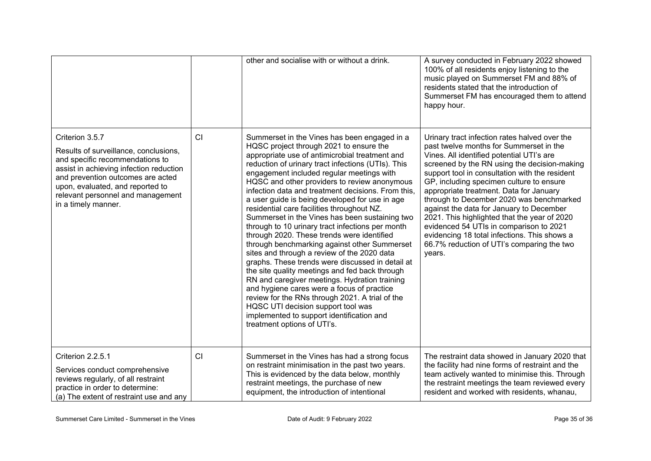|                                                                                                                                                                                                                                                                             |    | other and socialise with or without a drink.                                                                                                                                                                                                                                                                                                                                                                                                                                                                                                                                                                                                                                                                                                                                                                                                                                                                                                                                                                                                                                    | A survey conducted in February 2022 showed<br>100% of all residents enjoy listening to the<br>music played on Summerset FM and 88% of<br>residents stated that the introduction of<br>Summerset FM has encouraged them to attend<br>happy hour.                                                                                                                                                                                                                                                                                                                                                                           |
|-----------------------------------------------------------------------------------------------------------------------------------------------------------------------------------------------------------------------------------------------------------------------------|----|---------------------------------------------------------------------------------------------------------------------------------------------------------------------------------------------------------------------------------------------------------------------------------------------------------------------------------------------------------------------------------------------------------------------------------------------------------------------------------------------------------------------------------------------------------------------------------------------------------------------------------------------------------------------------------------------------------------------------------------------------------------------------------------------------------------------------------------------------------------------------------------------------------------------------------------------------------------------------------------------------------------------------------------------------------------------------------|---------------------------------------------------------------------------------------------------------------------------------------------------------------------------------------------------------------------------------------------------------------------------------------------------------------------------------------------------------------------------------------------------------------------------------------------------------------------------------------------------------------------------------------------------------------------------------------------------------------------------|
| Criterion 3.5.7<br>Results of surveillance, conclusions,<br>and specific recommendations to<br>assist in achieving infection reduction<br>and prevention outcomes are acted<br>upon, evaluated, and reported to<br>relevant personnel and management<br>in a timely manner. | CI | Summerset in the Vines has been engaged in a<br>HQSC project through 2021 to ensure the<br>appropriate use of antimicrobial treatment and<br>reduction of urinary tract infections (UTIs). This<br>engagement included regular meetings with<br>HQSC and other providers to review anonymous<br>infection data and treatment decisions. From this,<br>a user guide is being developed for use in age<br>residential care facilities throughout NZ.<br>Summerset in the Vines has been sustaining two<br>through to 10 urinary tract infections per month<br>through 2020. These trends were identified<br>through benchmarking against other Summerset<br>sites and through a review of the 2020 data<br>graphs. These trends were discussed in detail at<br>the site quality meetings and fed back through<br>RN and caregiver meetings. Hydration training<br>and hygiene cares were a focus of practice<br>review for the RNs through 2021. A trial of the<br>HQSC UTI decision support tool was<br>implemented to support identification and<br>treatment options of UTI's. | Urinary tract infection rates halved over the<br>past twelve months for Summerset in the<br>Vines. All identified potential UTI's are<br>screened by the RN using the decision-making<br>support tool in consultation with the resident<br>GP, including specimen culture to ensure<br>appropriate treatment. Data for January<br>through to December 2020 was benchmarked<br>against the data for January to December<br>2021. This highlighted that the year of 2020<br>evidenced 54 UTIs in comparison to 2021<br>evidencing 18 total infections. This shows a<br>66.7% reduction of UTI's comparing the two<br>years. |
| Criterion 2.2.5.1<br>Services conduct comprehensive<br>reviews regularly, of all restraint<br>practice in order to determine:<br>(a) The extent of restraint use and any                                                                                                    | CI | Summerset in the Vines has had a strong focus<br>on restraint minimisation in the past two years.<br>This is evidenced by the data below, monthly<br>restraint meetings, the purchase of new<br>equipment, the introduction of intentional                                                                                                                                                                                                                                                                                                                                                                                                                                                                                                                                                                                                                                                                                                                                                                                                                                      | The restraint data showed in January 2020 that<br>the facility had nine forms of restraint and the<br>team actively wanted to minimise this. Through<br>the restraint meetings the team reviewed every<br>resident and worked with residents, whanau,                                                                                                                                                                                                                                                                                                                                                                     |